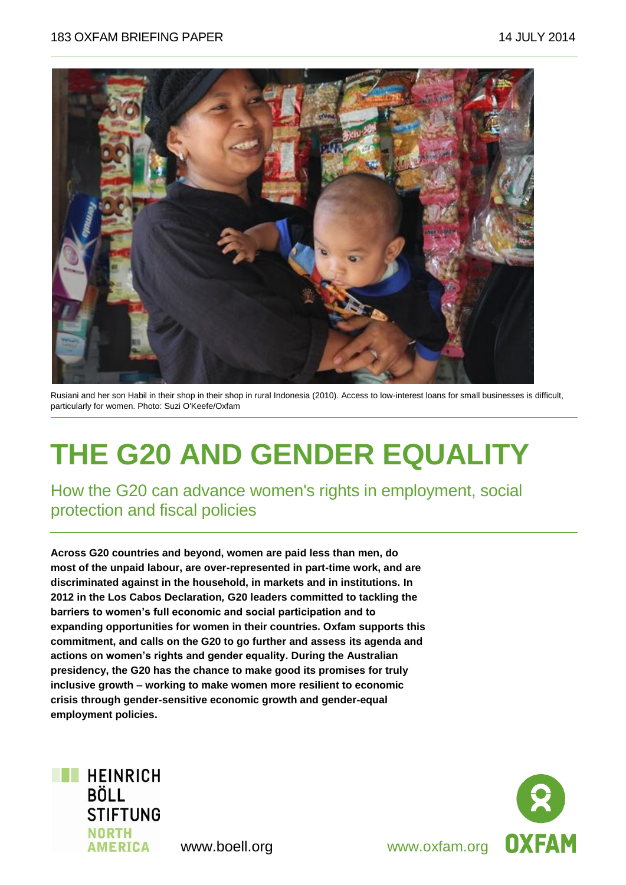

Rusiani and her son Habil in their shop in their shop in rural Indonesia (2010). Access to low-interest loans for small businesses is difficult, particularly for women. Photo: Suzi O'Keefe/Oxfam

# **THE G20 AND GENDER EQUALITY**

How the G20 can advance women's rights in employment, social protection and fiscal policies

**Across G20 countries and beyond, women are paid less than men, do most of the unpaid labour, are over-represented in part-time work, and are discriminated against in the household, in markets and in institutions. In 2012 in the Los Cabos Declaration***,* **G20 leaders committed to tackling the barriers to women's full economic and social participation and to expanding opportunities for women in their countries. Oxfam supports this commitment, and calls on the G20 to go further and assess its agenda and actions on women's rights and gender equality. During the Australian presidency, the G20 has the chance to make good its promises for truly inclusive growth – working to make women more resilient to economic crisis through gender-sensitive economic growth and gender-equal employment policies.** 



**OXFAM**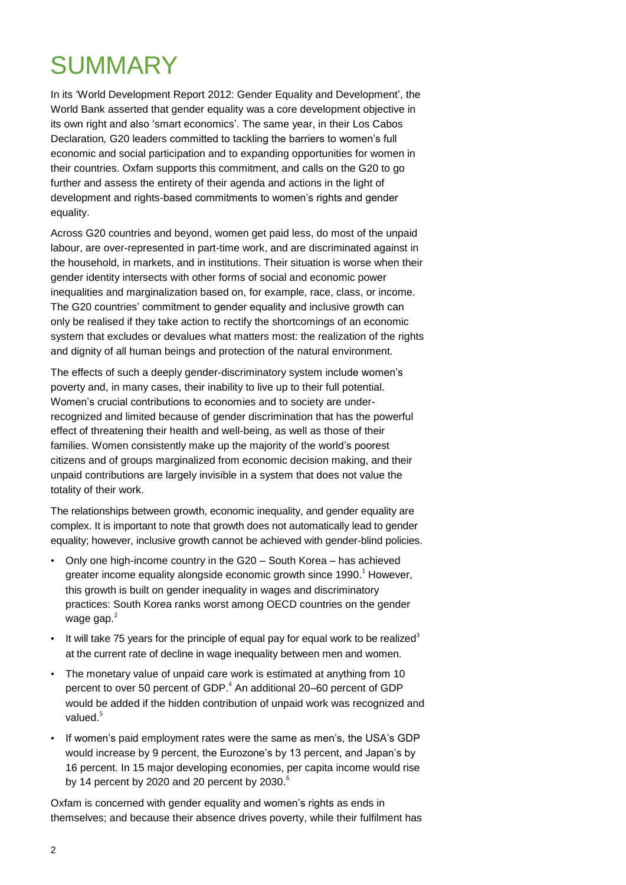# **SUMMARY**

In its "World Development Report 2012: Gender Equality and Development", the World Bank asserted that gender equality was a core development objective in its own right and also 'smart economics'. The same year, in their Los Cabos Declaration*,* G20 leaders committed to tackling the barriers to women"s full economic and social participation and to expanding opportunities for women in their countries. Oxfam supports this commitment, and calls on the G20 to go further and assess the entirety of their agenda and actions in the light of development and rights-based commitments to women's rights and gender equality.

Across G20 countries and beyond, women get paid less, do most of the unpaid labour, are over-represented in part-time work, and are discriminated against in the household, in markets, and in institutions. Their situation is worse when their gender identity intersects with other forms of social and economic power inequalities and marginalization based on, for example, race, class, or income. The G20 countries' commitment to gender equality and inclusive growth can only be realised if they take action to rectify the shortcomings of an economic system that excludes or devalues what matters most: the realization of the rights and dignity of all human beings and protection of the natural environment.

The effects of such a deeply gender-discriminatory system include women"s poverty and, in many cases, their inability to live up to their full potential. Women"s crucial contributions to economies and to society are underrecognized and limited because of gender discrimination that has the powerful effect of threatening their health and well-being, as well as those of their families. Women consistently make up the majority of the world"s poorest citizens and of groups marginalized from economic decision making, and their unpaid contributions are largely invisible in a system that does not value the totality of their work.

The relationships between growth, economic inequality, and gender equality are complex. It is important to note that growth does not automatically lead to gender equality; however, inclusive growth cannot be achieved with gender-blind policies.

- Only one high-income country in the G20 South Korea has achieved greater income equality alongside economic growth since 1990. $^1$  However, this growth is built on gender inequality in wages and discriminatory practices: South Korea ranks worst among OECD countries on the gender wage gap.<sup>2</sup>
- It will take 75 years for the principle of equal pay for equal work to be realized<sup>3</sup> at the current rate of decline in wage inequality between men and women.
- The monetary value of unpaid care work is estimated at anything from 10 percent to over 50 percent of GDP. $^{4}$  An additional 20–60 percent of GDP would be added if the hidden contribution of unpaid work was recognized and valued. $5$
- If women's paid employment rates were the same as men's, the USA's GDP would increase by 9 percent, the Eurozone's by 13 percent, and Japan's by 16 percent. In 15 major developing economies, per capita income would rise by 14 percent by 2020 and 20 percent by 2030. $^6$

Oxfam is concerned with gender equality and women"s rights as ends in themselves; and because their absence drives poverty, while their fulfilment has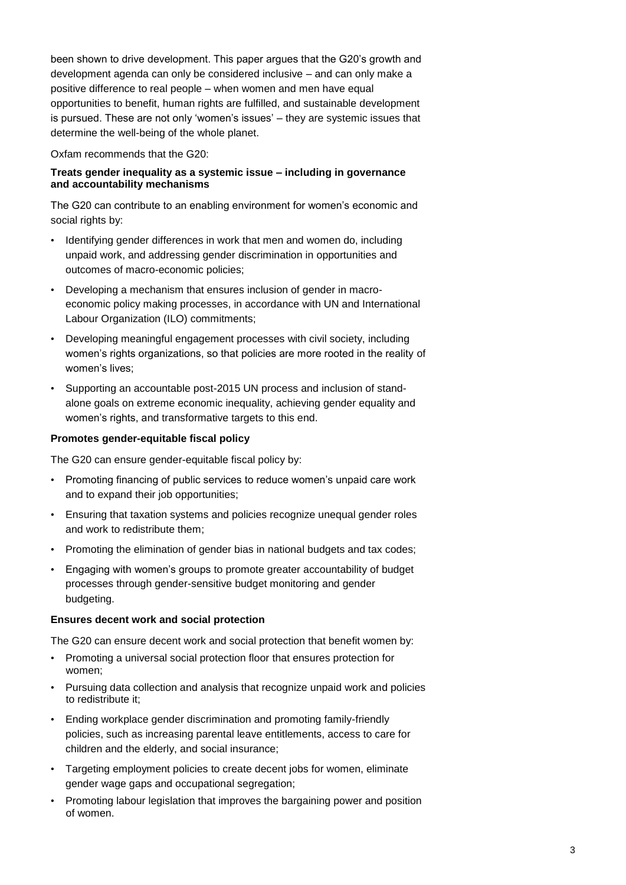been shown to drive development. This paper argues that the G20"s growth and development agenda can only be considered inclusive – and can only make a positive difference to real people – when women and men have equal opportunities to benefit, human rights are fulfilled, and sustainable development is pursued. These are not only 'women's issues' – they are systemic issues that determine the well-being of the whole planet.

Oxfam recommends that the G20:

#### **Treats gender inequality as a systemic issue – including in governance and accountability mechanisms**

The G20 can contribute to an enabling environment for women's economic and social rights by:

- Identifying gender differences in work that men and women do, including unpaid work, and addressing gender discrimination in opportunities and outcomes of macro-economic policies;
- Developing a mechanism that ensures inclusion of gender in macroeconomic policy making processes, in accordance with UN and International Labour Organization (ILO) commitments;
- Developing meaningful engagement processes with civil society, including women"s rights organizations, so that policies are more rooted in the reality of women's lives:
- Supporting an accountable post-2015 UN process and inclusion of standalone goals on extreme economic inequality, achieving gender equality and women"s rights, and transformative targets to this end.

#### **Promotes gender-equitable fiscal policy**

The G20 can ensure gender-equitable fiscal policy by:

- Promoting financing of public services to reduce women"s unpaid care work and to expand their job opportunities;
- Ensuring that taxation systems and policies recognize unequal gender roles and work to redistribute them;
- Promoting the elimination of gender bias in national budgets and tax codes;
- Engaging with women"s groups to promote greater accountability of budget processes through gender-sensitive budget monitoring and gender budgeting.

### **Ensures decent work and social protection**

The G20 can ensure decent work and social protection that benefit women by:

- Promoting a universal social protection floor that ensures protection for women;
- Pursuing data collection and analysis that recognize unpaid work and policies to redistribute it;
- Ending workplace gender discrimination and promoting family-friendly policies, such as increasing parental leave entitlements, access to care for children and the elderly, and social insurance;
- Targeting employment policies to create decent jobs for women, eliminate gender wage gaps and occupational segregation;
- Promoting labour legislation that improves the bargaining power and position of women.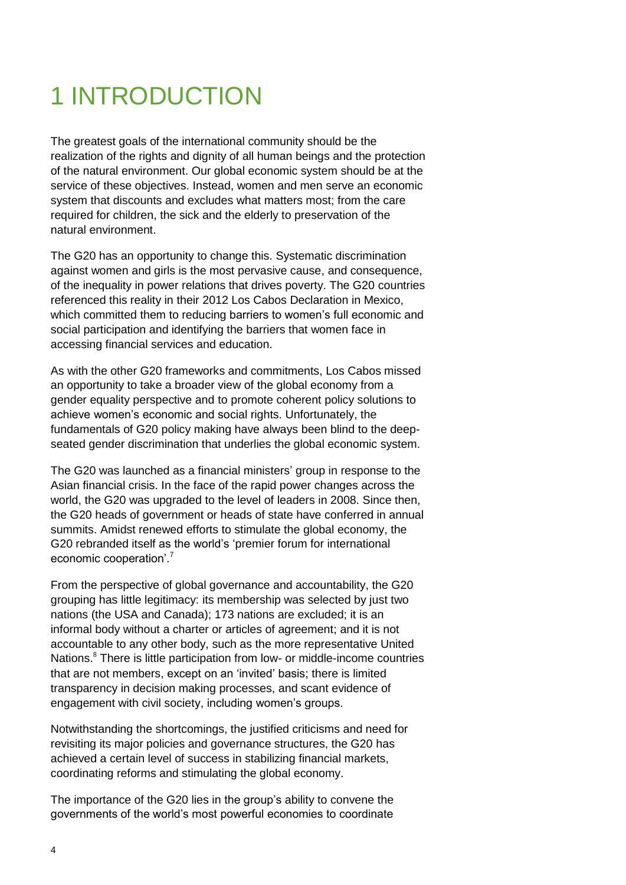# 1 INTRODUCTION

The greatest goals of the international community should be the realization of the rights and dignity of all human beings and the protection of the natural environment. Our global economic system should be at the service of these objectives. Instead, women and men serve an economic system that discounts and excludes what matters most; from the care required for children, the sick and the elderly to preservation of the natural environment.

The G20 has an opportunity to change this. Systematic discrimination against women and girls is the most pervasive cause, and consequence, of the inequality in power relations that drives poverty. The G20 countries referenced this reality in their 2012 Los Cabos Declaration in Mexico, which committed them to reducing barriers to women"s full economic and social participation and identifying the barriers that women face in accessing financial services and education.

As with the other G20 frameworks and commitments, Los Cabos missed an opportunity to take a broader view of the global economy from a gender equality perspective and to promote coherent policy solutions to achieve women"s economic and social rights. Unfortunately, the fundamentals of G20 policy making have always been blind to the deepseated gender discrimination that underlies the global economic system.

The G20 was launched as a financial ministers' group in response to the Asian financial crisis. In the face of the rapid power changes across the world, the G20 was upgraded to the level of leaders in 2008. Since then, the G20 heads of government or heads of state have conferred in annual summits. Amidst renewed efforts to stimulate the global economy, the G20 rebranded itself as the world"s "premier forum for international economic cooperation'.<sup>7</sup>

From the perspective of global governance and accountability, the G20 grouping has little legitimacy: its membership was selected by just two nations (the USA and Canada); 173 nations are excluded; it is an informal body without a charter or articles of agreement; and it is not accountable to any other body, such as the more representative United Nations. <sup>8</sup> There is little participation from low- or middle-income countries that are not members, except on an "invited" basis; there is limited transparency in decision making processes, and scant evidence of engagement with civil society, including women's groups.

Notwithstanding the shortcomings, the justified criticisms and need for revisiting its major policies and governance structures, the G20 has achieved a certain level of success in stabilizing financial markets, coordinating reforms and stimulating the global economy.

The importance of the G20 lies in the group"s ability to convene the governments of the world"s most powerful economies to coordinate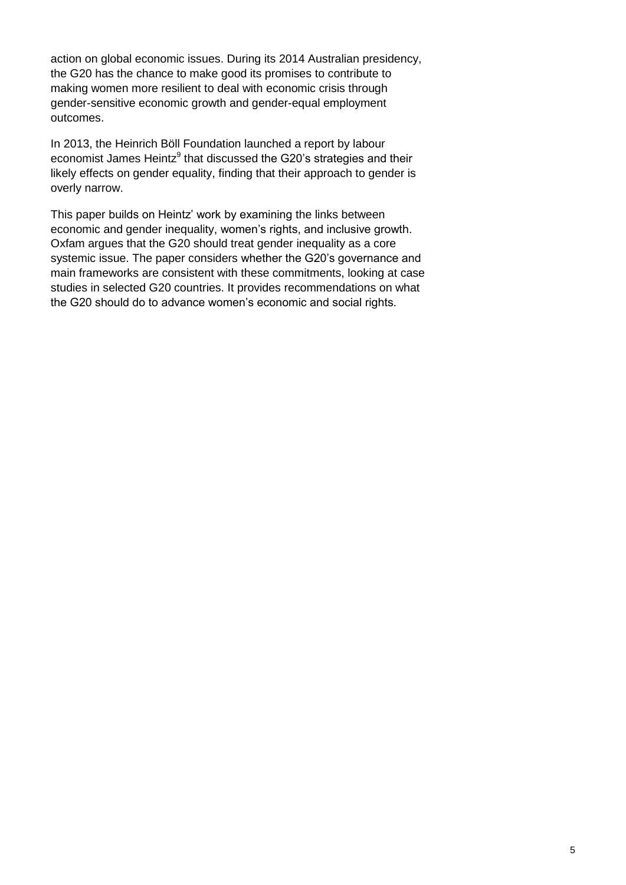action on global economic issues. During its 2014 Australian presidency, the G20 has the chance to make good its promises to contribute to making women more resilient to deal with economic crisis through gender-sensitive economic growth and gender-equal employment outcomes.

In 2013, the Heinrich Böll Foundation launched a report by labour economist James Heintz<sup>9</sup> that discussed the G20's strategies and their likely effects on gender equality, finding that their approach to gender is overly narrow.

This paper builds on Heintz' work by examining the links between economic and gender inequality, women's rights, and inclusive growth. Oxfam argues that the G20 should treat gender inequality as a core systemic issue. The paper considers whether the G20"s governance and main frameworks are consistent with these commitments, looking at case studies in selected G20 countries. It provides recommendations on what the G20 should do to advance women's economic and social rights.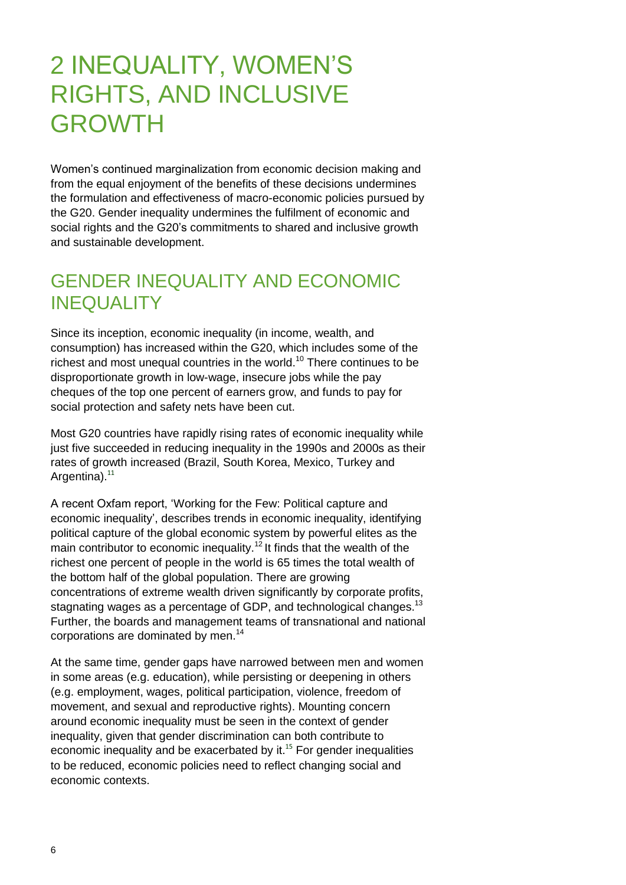# 2 INEQUALITY, WOMEN"S RIGHTS, AND INCLUSIVE GROWTH

Women"s continued marginalization from economic decision making and from the equal enjoyment of the benefits of these decisions undermines the formulation and effectiveness of macro-economic policies pursued by the G20. Gender inequality undermines the fulfilment of economic and social rights and the G20"s commitments to shared and inclusive growth and sustainable development.

# GENDER INEQUALITY AND ECONOMIC INEQUALITY

Since its inception, economic inequality (in income, wealth, and consumption) has increased within the G20, which includes some of the richest and most unequal countries in the world.<sup>10</sup> There continues to be disproportionate growth in low-wage, insecure jobs while the pay cheques of the top one percent of earners grow, and funds to pay for social protection and safety nets have been cut.

Most G20 countries have rapidly rising rates of economic inequality while just five succeeded in reducing inequality in the 1990s and 2000s as their rates of growth increased (Brazil, South Korea, Mexico, Turkey and Argentina).<sup>11</sup>

A recent Oxfam report, "Working for the Few: Political capture and economic inequality", describes trends in economic inequality, identifying political capture of the global economic system by powerful elites as the main contributor to economic inequality.<sup>12</sup> It finds that the wealth of the richest one percent of people in the world is 65 times the total wealth of the bottom half of the global population. There are growing concentrations of extreme wealth driven significantly by corporate profits, stagnating wages as a percentage of GDP, and technological changes.<sup>13</sup> Further, the boards and management teams of transnational and national corporations are dominated by men.<sup>14</sup>

At the same time, gender gaps have narrowed between men and women in some areas (e.g. education), while persisting or deepening in others (e.g. employment, wages, political participation, violence, freedom of movement, and sexual and reproductive rights). Mounting concern around economic inequality must be seen in the context of gender inequality, given that gender discrimination can both contribute to economic inequality and be exacerbated by it.<sup>15</sup> For gender inequalities to be reduced, economic policies need to reflect changing social and economic contexts.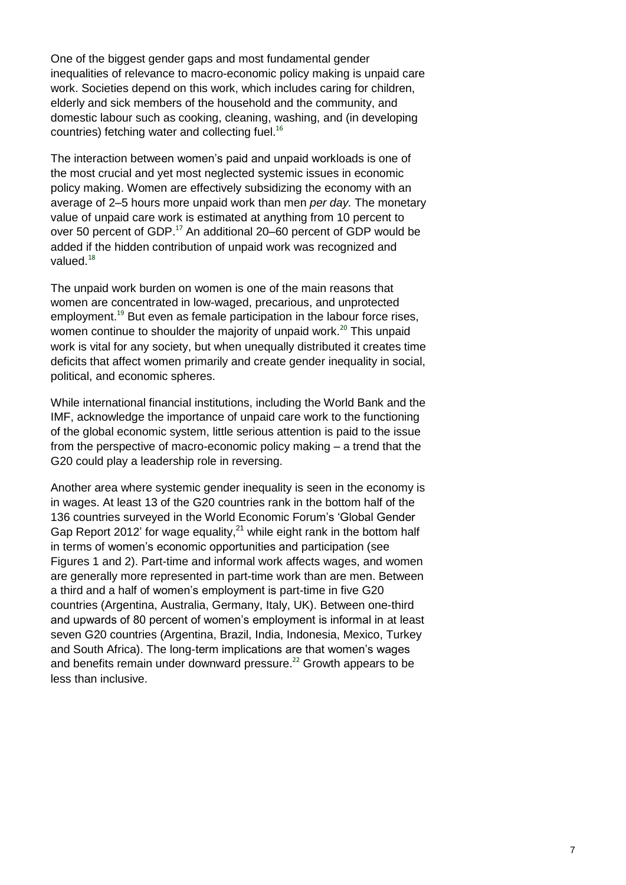One of the biggest gender gaps and most fundamental gender inequalities of relevance to macro-economic policy making is unpaid care work. Societies depend on this work, which includes caring for children, elderly and sick members of the household and the community, and domestic labour such as cooking, cleaning, washing, and (in developing countries) fetching water and collecting fuel.<sup>16</sup>

The interaction between women"s paid and unpaid workloads is one of the most crucial and yet most neglected systemic issues in economic policy making. Women are effectively subsidizing the economy with an average of 2–5 hours more unpaid work than men *per day.* The monetary value of unpaid care work is estimated at anything from 10 percent to over 50 percent of GDP.<sup>17</sup> An additional 20–60 percent of GDP would be added if the hidden contribution of unpaid work was recognized and valued.<sup>18</sup>

The unpaid work burden on women is one of the main reasons that women are concentrated in low-waged, precarious, and unprotected employment.<sup>19</sup> But even as female participation in the labour force rises, women continue to shoulder the majority of unpaid work.<sup>20</sup> This unpaid work is vital for any society, but when unequally distributed it creates time deficits that affect women primarily and create gender inequality in social, political, and economic spheres.

While international financial institutions, including the World Bank and the IMF, acknowledge the importance of unpaid care work to the functioning of the global economic system, little serious attention is paid to the issue from the perspective of macro-economic policy making – a trend that the G20 could play a leadership role in reversing.

Another area where systemic gender inequality is seen in the economy is in wages. At least 13 of the G20 countries rank in the bottom half of the 136 countries surveyed in the World Economic Forum"s "Global Gender Gap Report 2012' for wage equality, $^{21}$  while eight rank in the bottom half in terms of women"s economic opportunities and participation (see Figures 1 and 2). Part-time and informal work affects wages, and women are generally more represented in part-time work than are men. Between a third and a half of women"s employment is part-time in five G20 countries (Argentina, Australia, Germany, Italy, UK). Between one-third and upwards of 80 percent of women's employment is informal in at least seven G20 countries (Argentina, Brazil, India, Indonesia, Mexico, Turkey and South Africa). The long-term implications are that women's wages and benefits remain under downward pressure.<sup>22</sup> Growth appears to be less than inclusive.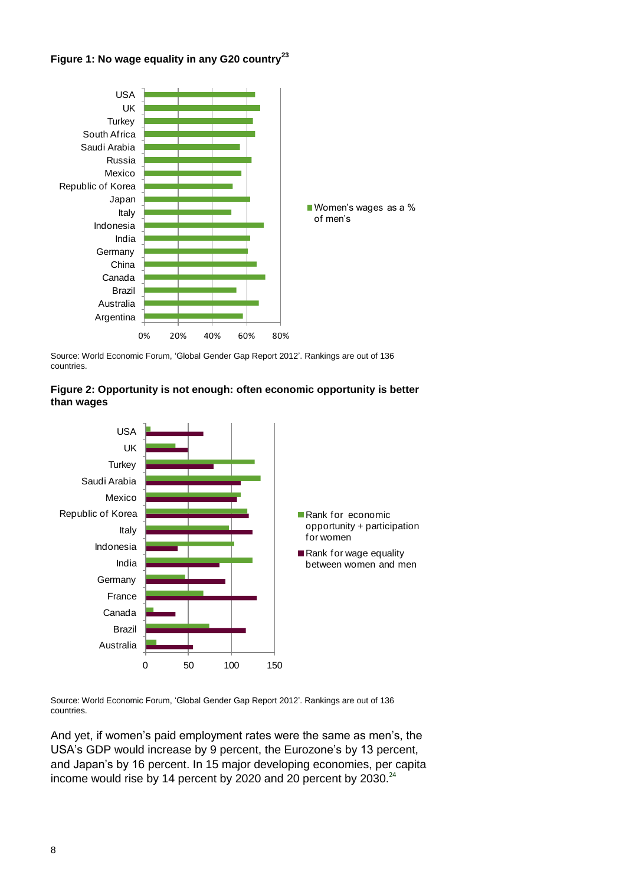



Source: World Economic Forum, "Global Gender Gap Report 2012". Rankings are out of 136 countries.





Source: World Economic Forum, "Global Gender Gap Report 2012". Rankings are out of 136 countries.

And yet, if women"s paid employment rates were the same as men"s, the USA"s GDP would increase by 9 percent, the Eurozone"s by 13 percent, and Japan"s by 16 percent. In 15 major developing economies, per capita income would rise by 14 percent by 2020 and 20 percent by  $2030.^{24}$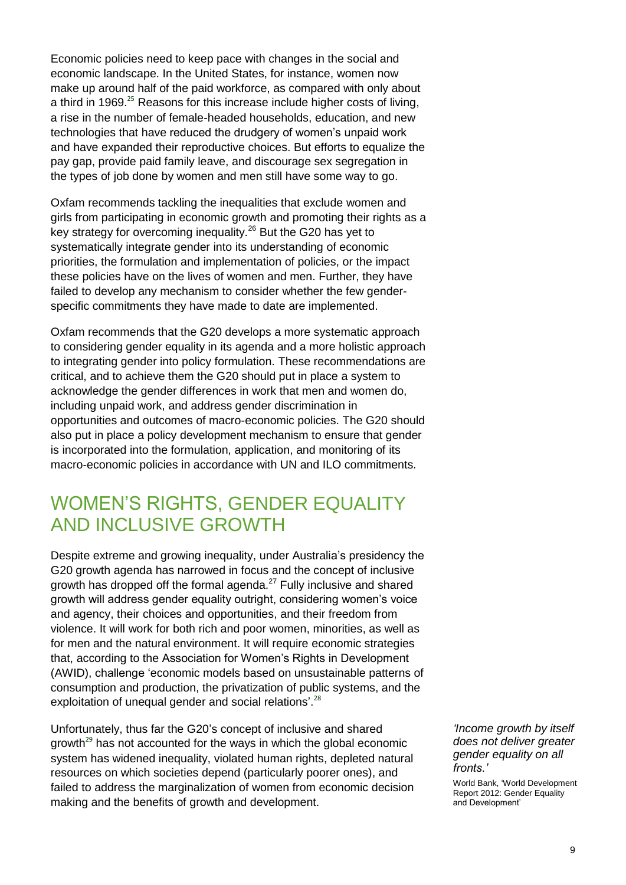Economic policies need to keep pace with changes in the social and economic landscape. In the United States, for instance, women now make up around half of the paid workforce, as compared with only about a third in 1969.<sup>25</sup> Reasons for this increase include higher costs of living, a rise in the number of female-headed households, education, and new technologies that have reduced the drudgery of women"s unpaid work and have expanded their reproductive choices. But efforts to equalize the pay gap, provide paid family leave, and discourage sex segregation in the types of job done by women and men still have some way to go.

Oxfam recommends tackling the inequalities that exclude women and girls from participating in economic growth and promoting their rights as a key strategy for overcoming inequality.<sup>26</sup> But the G20 has yet to systematically integrate gender into its understanding of economic priorities, the formulation and implementation of policies, or the impact these policies have on the lives of women and men. Further, they have failed to develop any mechanism to consider whether the few genderspecific commitments they have made to date are implemented.

Oxfam recommends that the G20 develops a more systematic approach to considering gender equality in its agenda and a more holistic approach to integrating gender into policy formulation. These recommendations are critical, and to achieve them the G20 should put in place a system to acknowledge the gender differences in work that men and women do, including unpaid work, and address gender discrimination in opportunities and outcomes of macro-economic policies. The G20 should also put in place a policy development mechanism to ensure that gender is incorporated into the formulation, application, and monitoring of its macro-economic policies in accordance with UN and ILO commitments.

## WOMEN"S RIGHTS, GENDER EQUALITY AND INCLUSIVE GROWTH

Despite extreme and growing inequality, under Australia"s presidency the G20 growth agenda has narrowed in focus and the concept of inclusive growth has dropped off the formal agenda.<sup>27</sup> Fully inclusive and shared growth will address gender equality outright, considering women"s voice and agency, their choices and opportunities, and their freedom from violence. It will work for both rich and poor women, minorities, as well as for men and the natural environment. It will require economic strategies that, according to the Association for Women"s Rights in Development (AWID), challenge "economic models based on unsustainable patterns of consumption and production, the privatization of public systems, and the exploitation of unequal gender and social relations'.<sup>28</sup>

Unfortunately, thus far the G20"s concept of inclusive and shared growth<sup>29</sup> has not accounted for the ways in which the global economic system has widened inequality, violated human rights, depleted natural resources on which societies depend (particularly poorer ones), and failed to address the marginalization of women from economic decision making and the benefits of growth and development.

*"Income growth by itself does not deliver greater gender equality on all fronts."*

World Bank, "World Development Report 2012: Gender Equality and Development"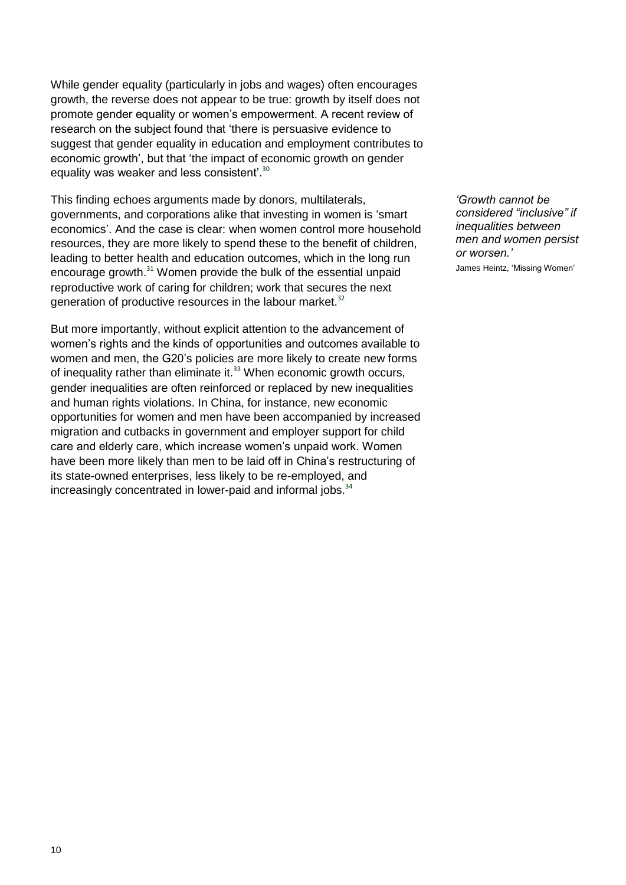While gender equality (particularly in jobs and wages) often encourages growth, the reverse does not appear to be true: growth by itself does not promote gender equality or women"s empowerment. A recent review of research on the subject found that "there is persuasive evidence to suggest that gender equality in education and employment contributes to economic growth', but that 'the impact of economic growth on gender equality was weaker and less consistent'. $30$ 

This finding echoes arguments made by donors, multilaterals, governments, and corporations alike that investing in women is "smart economics'. And the case is clear: when women control more household resources, they are more likely to spend these to the benefit of children, leading to better health and education outcomes, which in the long run encourage growth.<sup>31</sup> Women provide the bulk of the essential unpaid reproductive work of caring for children; work that secures the next generation of productive resources in the labour market.<sup>32</sup>

But more importantly, without explicit attention to the advancement of women"s rights and the kinds of opportunities and outcomes available to women and men, the G20"s policies are more likely to create new forms of inequality rather than eliminate it. $33$  When economic growth occurs, gender inequalities are often reinforced or replaced by new inequalities and human rights violations. In China, for instance, new economic opportunities for women and men have been accompanied by increased migration and cutbacks in government and employer support for child care and elderly care, which increase women"s unpaid work. Women have been more likely than men to be laid off in China"s restructuring of its state-owned enterprises, less likely to be re-employed, and increasingly concentrated in lower-paid and informal jobs.<sup>34</sup>

*"Growth cannot be considered "inclusive" if inequalities between men and women persist or worsen."* James Heintz, "Missing Women"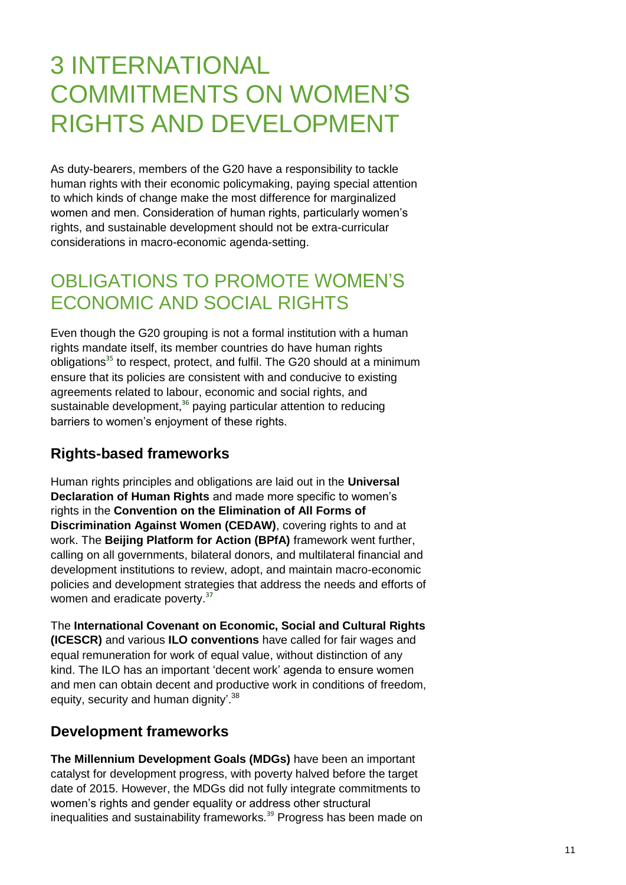# 3 INTERNATIONAL COMMITMENTS ON WOMEN"S RIGHTS AND DEVELOPMENT

As duty-bearers, members of the G20 have a responsibility to tackle human rights with their economic policymaking, paying special attention to which kinds of change make the most difference for marginalized women and men. Consideration of human rights, particularly women"s rights, and sustainable development should not be extra-curricular considerations in macro-economic agenda-setting.

# OBLIGATIONS TO PROMOTE WOMEN"S ECONOMIC AND SOCIAL RIGHTS

Even though the G20 grouping is not a formal institution with a human rights mandate itself, its member countries do have human rights obligations<sup>35</sup> to respect, protect, and fulfil. The G20 should at a minimum ensure that its policies are consistent with and conducive to existing agreements related to labour, economic and social rights, and sustainable development,<sup>36</sup> paying particular attention to reducing barriers to women"s enjoyment of these rights.

## **Rights-based frameworks**

Human rights principles and obligations are laid out in the **Universal Declaration of Human Rights** and made more specific to women"s rights in the **Convention on the Elimination of All Forms of Discrimination Against Women (CEDAW)**, covering rights to and at work. The **Beijing Platform for Action (BPfA)** framework went further, calling on all governments, bilateral donors, and multilateral financial and development institutions to review, adopt, and maintain macro-economic policies and development strategies that address the needs and efforts of women and eradicate poverty.<sup>37</sup>

The **International Covenant on Economic, Social and Cultural Rights (ICESCR)** and various **ILO conventions** have called for fair wages and equal remuneration for work of equal value, without distinction of any kind. The ILO has an important "decent work" agenda to ensure women and men can obtain decent and productive work in conditions of freedom, equity, security and human dignity'.<sup>38</sup>

## **Development frameworks**

**The Millennium Development Goals (MDGs)** have been an important catalyst for development progress, with poverty halved before the target date of 2015. However, the MDGs did not fully integrate commitments to women"s rights and gender equality or address other structural inequalities and sustainability frameworks.<sup>39</sup> Progress has been made on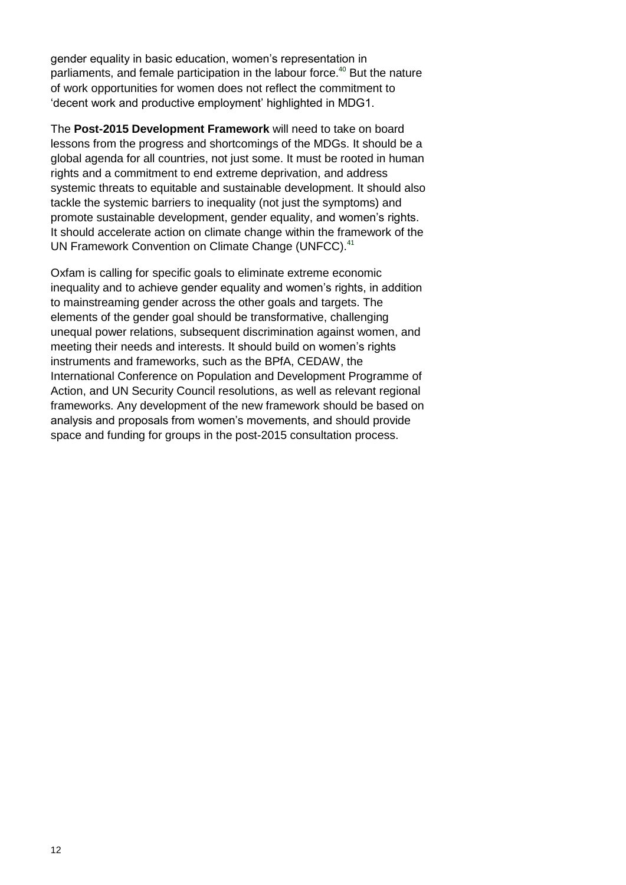gender equality in basic education, women's representation in parliaments, and female participation in the labour force. <sup>40</sup> But the nature of work opportunities for women does not reflect the commitment to "decent work and productive employment" highlighted in MDG1.

The **Post-2015 Development Framework** will need to take on board lessons from the progress and shortcomings of the MDGs. It should be a global agenda for all countries, not just some. It must be rooted in human rights and a commitment to end extreme deprivation, and address systemic threats to equitable and sustainable development. It should also tackle the systemic barriers to inequality (not just the symptoms) and promote sustainable development, gender equality, and women"s rights. It should accelerate action on climate change within the framework of the UN Framework Convention on Climate Change (UNFCC).<sup>41</sup>

Oxfam is calling for specific goals to eliminate extreme economic inequality and to achieve gender equality and women's rights, in addition to mainstreaming gender across the other goals and targets. The elements of the gender goal should be transformative, challenging unequal power relations, subsequent discrimination against women, and meeting their needs and interests. It should build on women"s rights instruments and frameworks, such as the BPfA, CEDAW, the International Conference on Population and Development Programme of Action, and UN Security Council resolutions, as well as relevant regional frameworks. Any development of the new framework should be based on analysis and proposals from women"s movements, and should provide space and funding for groups in the post-2015 consultation process.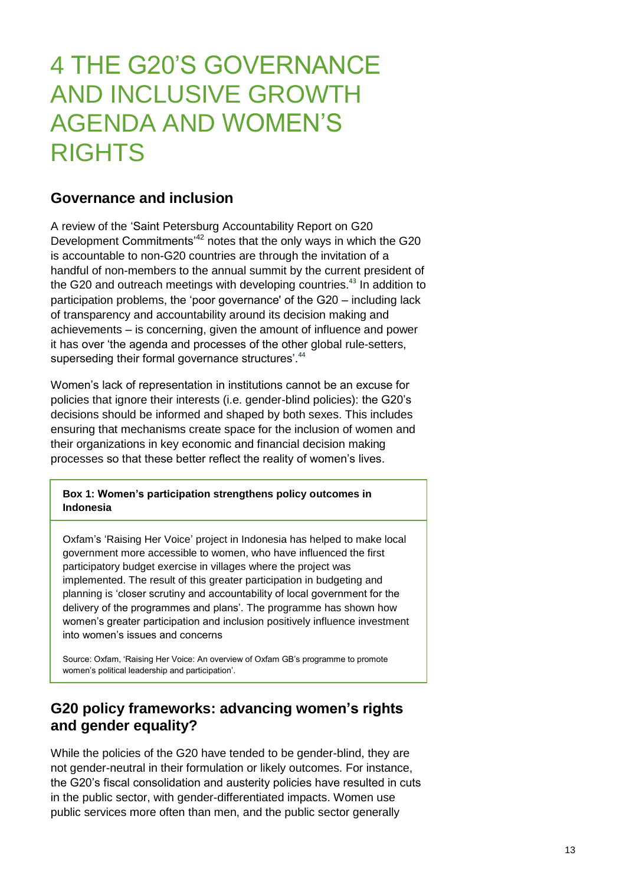# 4 THE G20"S GOVERNANCE AND INCLUSIVE GROWTH AGENDA AND WOMEN"S RIGHTS

### **Governance and inclusion**

A review of the "Saint Petersburg Accountability Report on G20 Development Commitments<sup>42</sup> notes that the only ways in which the G20 is accountable to non-G20 countries are through the invitation of a handful of non-members to the annual summit by the current president of the G20 and outreach meetings with developing countries.<sup>43</sup> In addition to participation problems, the "poor governance' of the G20 – including lack of transparency and accountability around its decision making and achievements – is concerning, given the amount of influence and power it has over "the agenda and processes of the other global rule-setters, superseding their formal governance structures'.<sup>44</sup>

Women"s lack of representation in institutions cannot be an excuse for policies that ignore their interests (i.e. gender-blind policies): the G20"s decisions should be informed and shaped by both sexes. This includes ensuring that mechanisms create space for the inclusion of women and their organizations in key economic and financial decision making processes so that these better reflect the reality of women"s lives.

#### **Box 1: Women's participation strengthens policy outcomes in Indonesia**

Oxfam"s "Raising Her Voice" project in Indonesia has helped to make local government more accessible to women, who have influenced the first participatory budget exercise in villages where the project was implemented. The result of this greater participation in budgeting and planning is "closer scrutiny and accountability of local government for the delivery of the programmes and plans'. The programme has shown how women"s greater participation and inclusion positively influence investment into women"s issues and concerns

Source: Oxfam, "Raising Her Voice: An overview of Oxfam GB"s programme to promote women's political leadership and participation'.

## **G20 policy frameworks: advancing women's rights and gender equality?**

While the policies of the G20 have tended to be gender-blind, they are not gender-neutral in their formulation or likely outcomes. For instance, the G20"s fiscal consolidation and austerity policies have resulted in cuts in the public sector, with gender-differentiated impacts. Women use public services more often than men, and the public sector generally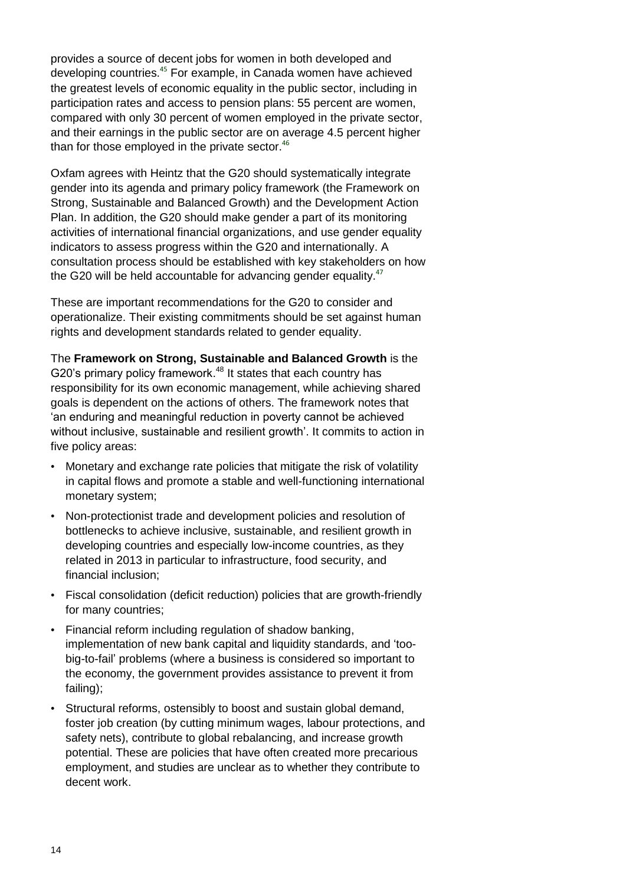provides a source of decent jobs for women in both developed and developing countries.<sup>45</sup> For example, in Canada women have achieved the greatest levels of economic equality in the public sector, including in participation rates and access to pension plans: 55 percent are women, compared with only 30 percent of women employed in the private sector, and their earnings in the public sector are on average 4.5 percent higher than for those employed in the private sector.<sup>46</sup>

Oxfam agrees with Heintz that the G20 should systematically integrate gender into its agenda and primary policy framework (the Framework on Strong, Sustainable and Balanced Growth) and the Development Action Plan. In addition, the G20 should make gender a part of its monitoring activities of international financial organizations, and use gender equality indicators to assess progress within the G20 and internationally. A consultation process should be established with key stakeholders on how the G20 will be held accountable for advancing gender equality.<sup>47</sup>

These are important recommendations for the G20 to consider and operationalize. Their existing commitments should be set against human rights and development standards related to gender equality.

The **Framework on Strong, Sustainable and Balanced Growth** is the G20's primary policy framework.<sup>48</sup> It states that each country has responsibility for its own economic management, while achieving shared goals is dependent on the actions of others. The framework notes that "an enduring and meaningful reduction in poverty cannot be achieved without inclusive, sustainable and resilient growth'. It commits to action in five policy areas:

- Monetary and exchange rate policies that mitigate the risk of volatility in capital flows and promote a stable and well-functioning international monetary system;
- Non-protectionist trade and development policies and resolution of bottlenecks to achieve inclusive, sustainable, and resilient growth in developing countries and especially low-income countries, as they related in 2013 in particular to infrastructure, food security, and financial inclusion;
- Fiscal consolidation (deficit reduction) policies that are growth-friendly for many countries;
- Financial reform including regulation of shadow banking, implementation of new bank capital and liquidity standards, and "toobig-to-fail" problems (where a business is considered so important to the economy, the government provides assistance to prevent it from failing);
- Structural reforms, ostensibly to boost and sustain global demand, foster job creation (by cutting minimum wages, labour protections, and safety nets), contribute to global rebalancing, and increase growth potential. These are policies that have often created more precarious employment, and studies are unclear as to whether they contribute to decent work.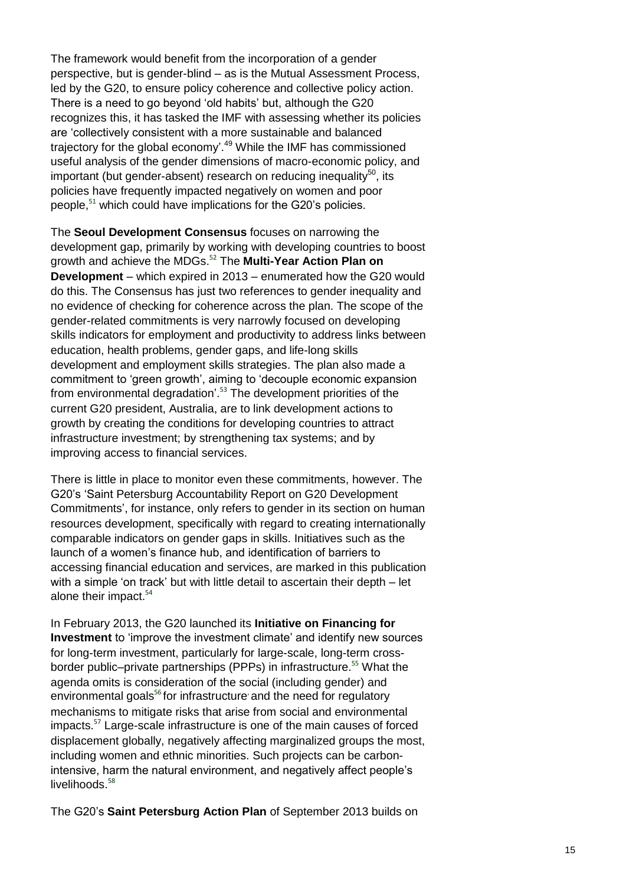The framework would benefit from the incorporation of a gender perspective, but is gender-blind – as is the Mutual Assessment Process, led by the G20, to ensure policy coherence and collective policy action. There is a need to go beyond "old habits" but, although the G20 recognizes this, it has tasked the IMF with assessing whether its policies are "collectively consistent with a more sustainable and balanced trajectory for the global economy'.<sup>49</sup> While the IMF has commissioned useful analysis of the gender dimensions of macro-economic policy, and important (but gender-absent) research on reducing inequality<sup>50</sup>, its policies have frequently impacted negatively on women and poor people, <sup>51</sup> which could have implications for the G20"s policies.

The **Seoul Development Consensus** focuses on narrowing the development gap, primarily by working with developing countries to boost growth and achieve the MDGs.<sup>52</sup> The **Multi-Year Action Plan on Development** – which expired in 2013 – enumerated how the G20 would do this. The Consensus has just two references to gender inequality and no evidence of checking for coherence across the plan. The scope of the gender-related commitments is very narrowly focused on developing skills indicators for employment and productivity to address links between education, health problems, gender gaps, and life-long skills development and employment skills strategies. The plan also made a commitment to "green growth", aiming to "decouple economic expansion from environmental degradation'.<sup>53</sup> The development priorities of the current G20 president, Australia, are to link development actions to growth by creating the conditions for developing countries to attract infrastructure investment; by strengthening tax systems; and by improving access to financial services.

There is little in place to monitor even these commitments, however. The G20"s "Saint Petersburg Accountability Report on G20 Development Commitments", for instance, only refers to gender in its section on human resources development, specifically with regard to creating internationally comparable indicators on gender gaps in skills. Initiatives such as the launch of a women"s finance hub, and identification of barriers to accessing financial education and services, are marked in this publication with a simple 'on track' but with little detail to ascertain their depth – let alone their impact.<sup>54</sup>

In February 2013, the G20 launched its **Initiative on Financing for Investment** to 'improve the investment climate' and identify new sources for long-term investment, particularly for large-scale, long-term crossborder public–private partnerships (PPPs) in infrastructure.<sup>55</sup> What the agenda omits is consideration of the social (including gender) and environmental goals<sup>56</sup> for infrastructure and the need for regulatory mechanisms to mitigate risks that arise from social and environmental impacts.<sup>57</sup> Large-scale infrastructure is one of the main causes of forced displacement globally, negatively affecting marginalized groups the most, including women and ethnic minorities. Such projects can be carbonintensive, harm the natural environment, and negatively affect people"s livelihoods. 58

The G20"s **Saint Petersburg Action Plan** of September 2013 builds on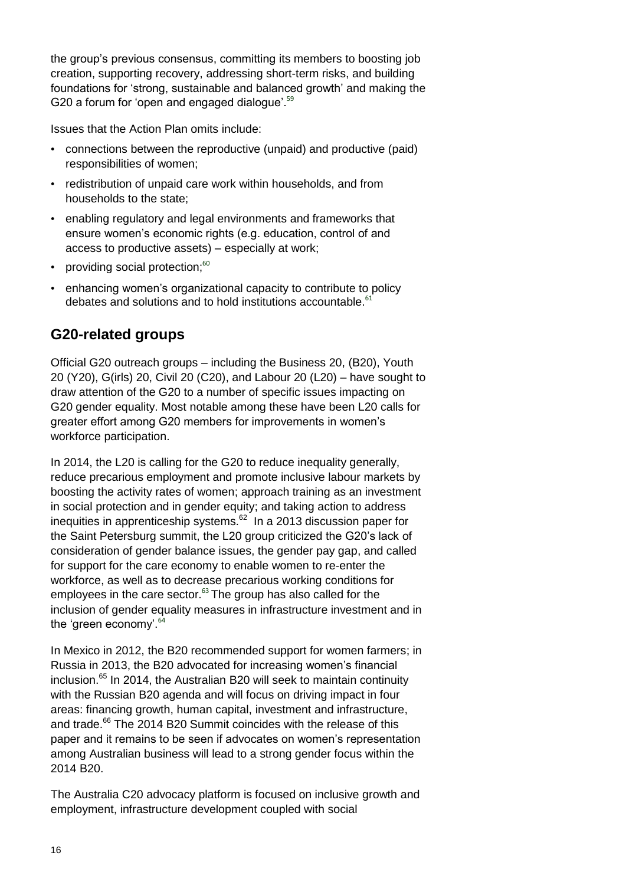the group"s previous consensus, committing its members to boosting job creation, supporting recovery, addressing short-term risks, and building foundations for "strong, sustainable and balanced growth" and making the G20 a forum for 'open and engaged dialogue'.<sup>59</sup>

Issues that the Action Plan omits include:

- connections between the reproductive (unpaid) and productive (paid) responsibilities of women;
- redistribution of unpaid care work within households, and from households to the state;
- enabling regulatory and legal environments and frameworks that ensure women"s economic rights (e.g. education, control of and access to productive assets) – especially at work;
- providing social protection;<sup>60</sup>
- enhancing women's organizational capacity to contribute to policy debates and solutions and to hold institutions accountable. $61$

## **G20-related groups**

Official G20 outreach groups – including the Business 20, (B20), Youth 20 (Y20), G(irls) 20, Civil 20 (C20), and Labour 20 (L20) – have sought to draw attention of the G20 to a number of specific issues impacting on G20 gender equality. Most notable among these have been L20 calls for greater effort among G20 members for improvements in women"s workforce participation.

In 2014, the L20 is calling for the G20 to reduce inequality generally, reduce precarious employment and promote inclusive labour markets by boosting the activity rates of women; approach training as an investment in social protection and in gender equity; and taking action to address inequities in apprenticeship systems.<sup>62</sup> In a 2013 discussion paper for the Saint Petersburg summit, the L20 group criticized the G20"s lack of consideration of gender balance issues, the gender pay gap, and called for support for the care economy to enable women to re-enter the workforce, as well as to decrease precarious working conditions for employees in the care sector.<sup>63</sup> The group has also called for the inclusion of gender equality measures in infrastructure investment and in the 'green economy'.<sup>64</sup>

In Mexico in 2012, the B20 recommended support for women farmers; in Russia in 2013, the B20 advocated for increasing women"s financial inclusion.<sup>65</sup> In 2014, the Australian B20 will seek to maintain continuity with the Russian B20 agenda and will focus on driving impact in four areas: financing growth, human capital, investment and infrastructure, and trade.<sup>66</sup> The 2014 B20 Summit coincides with the release of this paper and it remains to be seen if advocates on women"s representation among Australian business will lead to a strong gender focus within the 2014 B20.

The Australia C20 advocacy platform is focused on inclusive growth and employment, infrastructure development coupled with social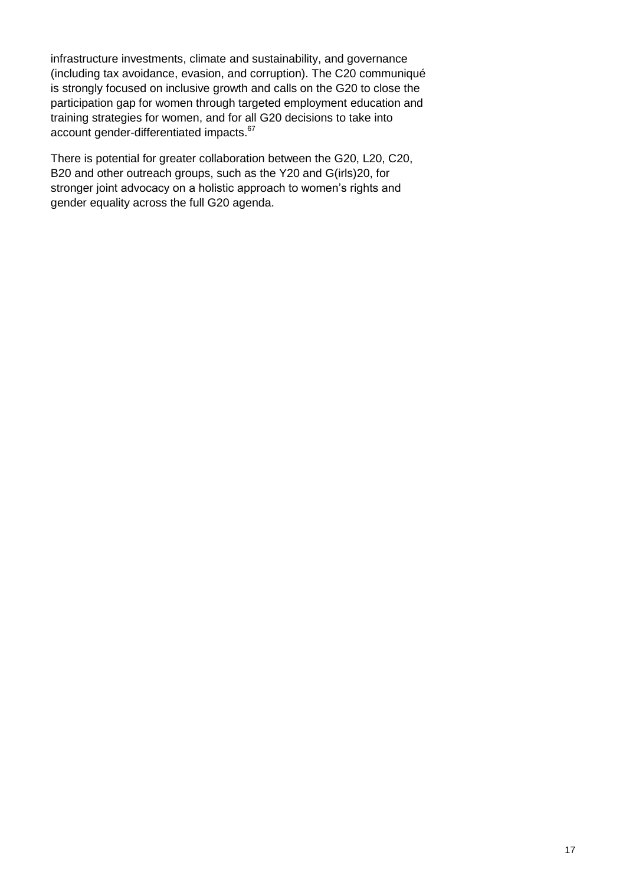infrastructure investments, climate and sustainability, and governance (including tax avoidance, evasion, and corruption). The C20 communiqué is strongly focused on inclusive growth and calls on the G20 to close the participation gap for women through targeted employment education and training strategies for women, and for all G20 decisions to take into account gender-differentiated impacts.<sup>67</sup>

There is potential for greater collaboration between the G20, L20, C20, B20 and other outreach groups, such as the Y20 and G(irls)20, for stronger joint advocacy on a holistic approach to women's rights and gender equality across the full G20 agenda.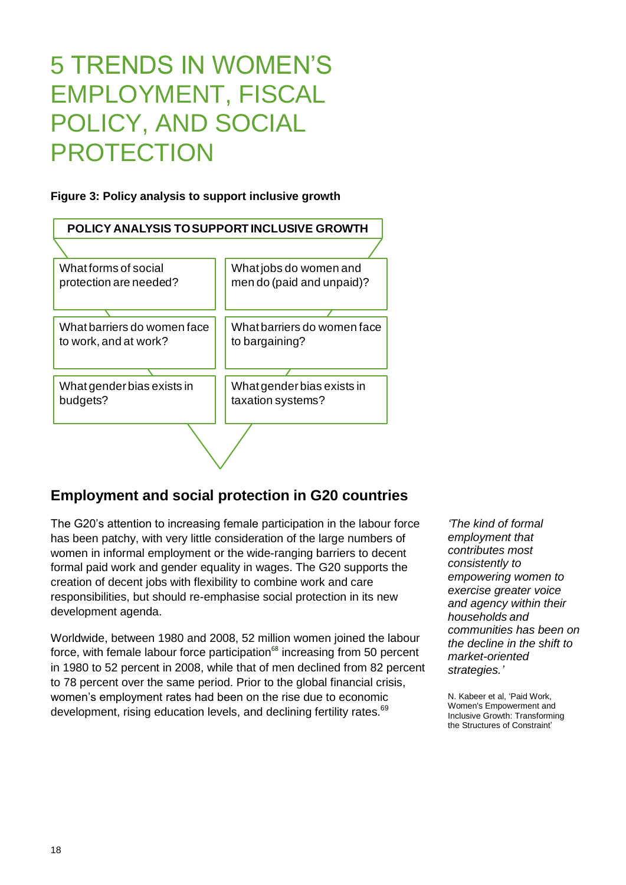# 5 TRENDS IN WOMEN"S EMPLOYMENT, FISCAL POLICY, AND SOCIAL **PROTECTION**

### **Figure 3: Policy analysis to support inclusive growth**



## **Employment and social protection in G20 countries**

The G20"s attention to increasing female participation in the labour force has been patchy, with very little consideration of the large numbers of women in informal employment or the wide-ranging barriers to decent formal paid work and gender equality in wages. The G20 supports the creation of decent jobs with flexibility to combine work and care responsibilities, but should re-emphasise social protection in its new development agenda.

Worldwide, between 1980 and 2008, 52 million women joined the labour force, with female labour force participation $68$  increasing from 50 percent in 1980 to 52 percent in 2008, while that of men declined from 82 percent to 78 percent over the same period. Prior to the global financial crisis, women"s employment rates had been on the rise due to economic development, rising education levels, and declining fertility rates.<sup>69</sup>

*"The kind of formal employment that contributes most consistently to empowering women to exercise greater voice and agency within their households and communities has been on the decline in the shift to market-oriented strategies."*

N. Kabeer et al, "Paid Work, Women's Empowerment and Inclusive Growth: Transforming the Structures of Constraint"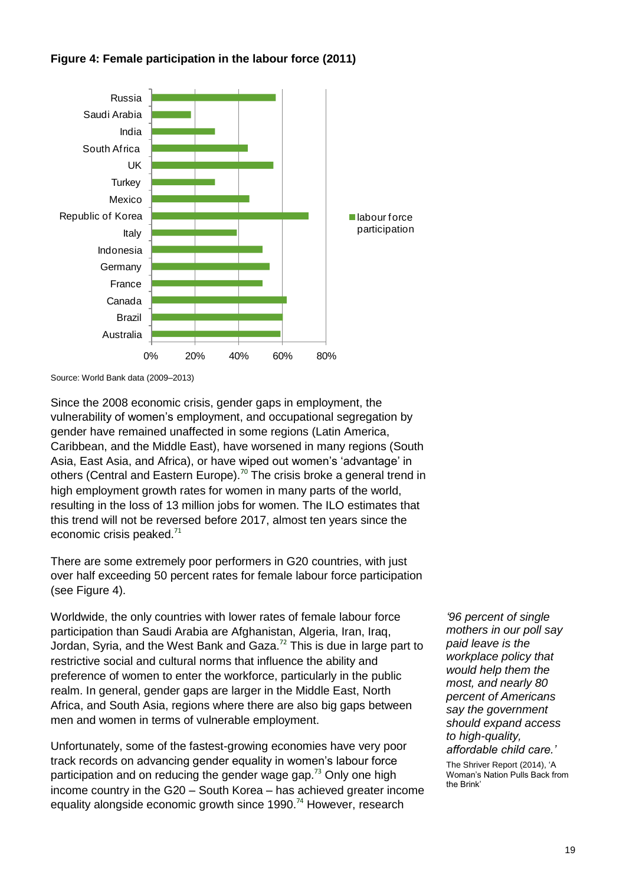

### **Figure 4: Female participation in the labour force (2011)**

Source: World Bank data (2009–2013)

Since the 2008 economic crisis, gender gaps in employment, the vulnerability of women"s employment, and occupational segregation by gender have remained unaffected in some regions (Latin America, Caribbean, and the Middle East), have worsened in many regions (South Asia, East Asia, and Africa), or have wiped out women's 'advantage' in others (Central and Eastern Europe).<sup>70</sup> The crisis broke a general trend in high employment growth rates for women in many parts of the world, resulting in the loss of 13 million jobs for women. The ILO estimates that this trend will not be reversed before 2017, almost ten years since the economic crisis peaked.<sup>71</sup>

There are some extremely poor performers in G20 countries, with just over half exceeding 50 percent rates for female labour force participation (see Figure 4).

Worldwide, the only countries with lower rates of female labour force participation than Saudi Arabia are Afghanistan, Algeria, Iran, Iraq, Jordan, Syria, and the West Bank and Gaza.<sup>72</sup> This is due in large part to restrictive social and cultural norms that influence the ability and preference of women to enter the workforce, particularly in the public realm. In general, gender gaps are larger in the Middle East, North Africa, and South Asia, regions where there are also big gaps between men and women in terms of vulnerable employment.

Unfortunately, some of the fastest-growing economies have very poor track records on advancing gender equality in women"s labour force participation and on reducing the gender wage gap.<sup>73</sup> Only one high income country in the G20 – South Korea – has achieved greater income equality alongside economic growth since 1990.<sup>74</sup> However, research

*"96 percent of single mothers in our poll say paid leave is the workplace policy that would help them the most, and nearly 80 percent of Americans say the government should expand access to high-quality, affordable child care."*

The Shriver Report (2014), "A Woman"s Nation Pulls Back from the Brink"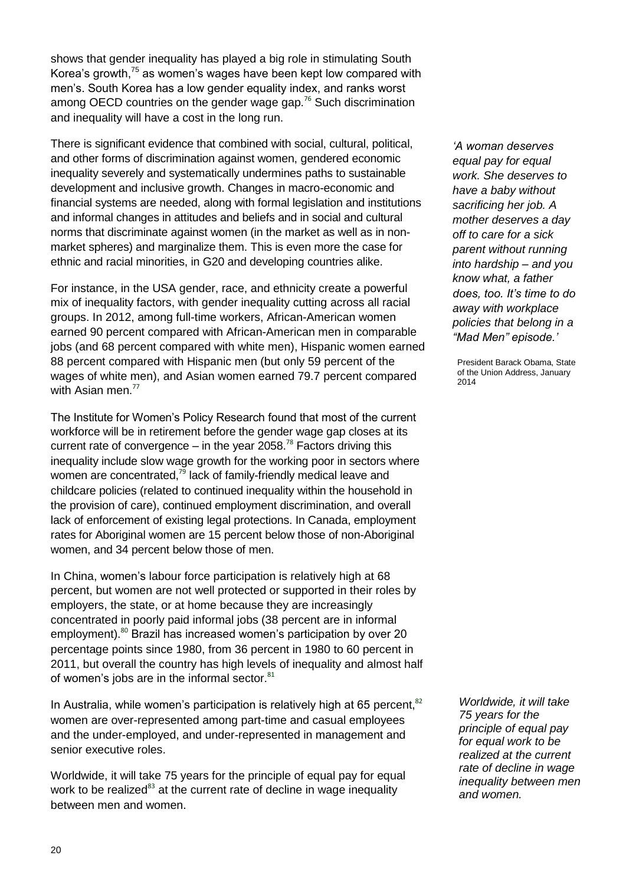shows that gender inequality has played a big role in stimulating South Korea's growth,<sup>75</sup> as women's wages have been kept low compared with men's. South Korea has a low gender equality index, and ranks worst among OECD countries on the gender wage gap.<sup>76</sup> Such discrimination and inequality will have a cost in the long run.

There is significant evidence that combined with social, cultural, political, and other forms of discrimination against women, gendered economic inequality severely and systematically undermines paths to sustainable development and inclusive growth. Changes in macro-economic and financial systems are needed, along with formal legislation and institutions and informal changes in attitudes and beliefs and in social and cultural norms that discriminate against women (in the market as well as in nonmarket spheres) and marginalize them. This is even more the case for ethnic and racial minorities, in G20 and developing countries alike.

For instance, in the USA gender, race, and ethnicity create a powerful mix of inequality factors, with gender inequality cutting across all racial groups. In 2012, among full-time workers, African-American women earned 90 percent compared with African-American men in comparable jobs (and 68 percent compared with white men), Hispanic women earned 88 percent compared with Hispanic men (but only 59 percent of the wages of white men), and Asian women earned 79.7 percent compared with Asian men.<sup>77</sup>

The Institute for Women"s Policy Research found that most of the current workforce will be in retirement before the gender wage gap closes at its current rate of convergence  $-$  in the year 2058.<sup>78</sup> Factors driving this inequality include slow wage growth for the working poor in sectors where women are concentrated,<sup>79</sup> lack of family-friendly medical leave and childcare policies (related to continued inequality within the household in the provision of care), continued employment discrimination, and overall lack of enforcement of existing legal protections. In Canada, employment rates for Aboriginal women are 15 percent below those of non-Aboriginal women, and 34 percent below those of men.

In China, women's labour force participation is relatively high at 68 percent, but women are not well protected or supported in their roles by employers, the state, or at home because they are increasingly concentrated in poorly paid informal jobs (38 percent are in informal employment).<sup>80</sup> Brazil has increased women's participation by over 20 percentage points since 1980, from 36 percent in 1980 to 60 percent in 2011, but overall the country has high levels of inequality and almost half of women's jobs are in the informal sector.<sup>81</sup>

In Australia, while women's participation is relatively high at 65 percent, $82$ women are over-represented among part-time and casual employees and the under-employed, and under-represented in management and senior executive roles.

Worldwide, it will take 75 years for the principle of equal pay for equal work to be realized<sup>83</sup> at the current rate of decline in wage inequality between men and women.

*"A woman deserves equal pay for equal work. She deserves to have a baby without sacrificing her job. A mother deserves a day off to care for a sick parent without running into hardship – and you know what, a father does, too. It"s time to do away with workplace policies that belong in a "Mad Men" episode."* 

President Barack Obama, State of the Union Address, January 2014

*Worldwide, it will take 75 years for the principle of equal pay for equal work to be realized at the current rate of decline in wage inequality between men and women.*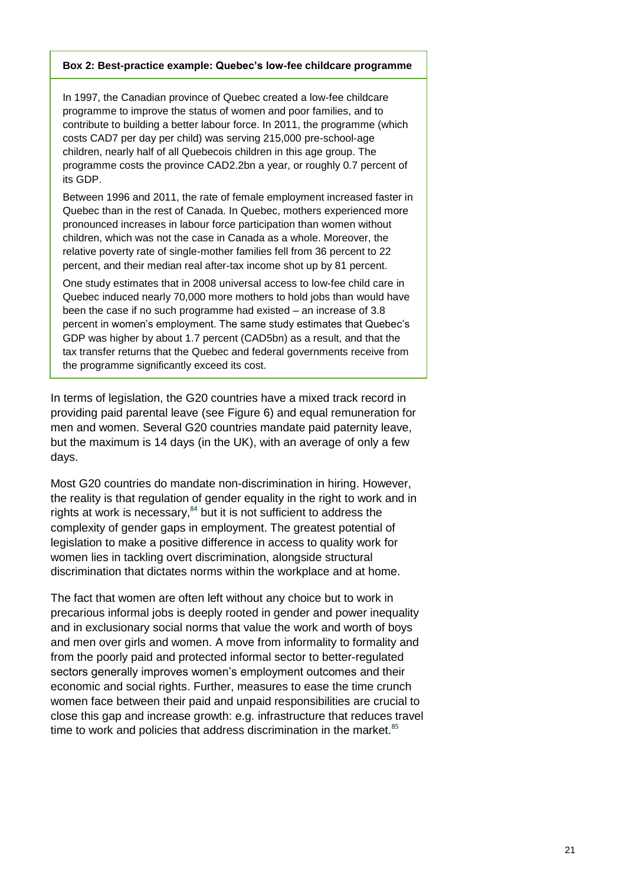#### **Box 2: Best-practice example: Quebec's low-fee childcare programme**

In 1997, the Canadian province of Quebec created a low-fee childcare programme to improve the status of women and poor families, and to contribute to building a better labour force. In 2011, the programme (which costs CAD7 per day per child) was serving 215,000 pre-school-age children, nearly half of all Quebecois children in this age group. The programme costs the province CAD2.2bn a year, or roughly 0.7 percent of its GDP.

Between 1996 and 2011, the rate of female employment increased faster in Quebec than in the rest of Canada. In Quebec, mothers experienced more pronounced increases in labour force participation than women without children, which was not the case in Canada as a whole. Moreover, the relative poverty rate of single-mother families fell from 36 percent to 22 percent, and their median real after-tax income shot up by 81 percent.

One study estimates that in 2008 universal access to low-fee child care in Quebec induced nearly 70,000 more mothers to hold jobs than would have been the case if no such programme had existed – an increase of 3.8 percent in women"s employment. The same study estimates that Quebec"s GDP was higher by about 1.7 percent (CAD5bn) as a result, and that the tax transfer returns that the Quebec and federal governments receive from the programme significantly exceed its cost.

In terms of legislation, the G20 countries have a mixed track record in providing paid parental leave (see Figure 6) and equal remuneration for men and women. Several G20 countries mandate paid paternity leave, but the maximum is 14 days (in the UK), with an average of only a few days.

Most G20 countries do mandate non-discrimination in hiring. However, the reality is that regulation of gender equality in the right to work and in rights at work is necessary,<sup>84</sup> but it is not sufficient to address the complexity of gender gaps in employment. The greatest potential of legislation to make a positive difference in access to quality work for women lies in tackling overt discrimination, alongside structural discrimination that dictates norms within the workplace and at home.

The fact that women are often left without any choice but to work in precarious informal jobs is deeply rooted in gender and power inequality and in exclusionary social norms that value the work and worth of boys and men over girls and women. A move from informality to formality and from the poorly paid and protected informal sector to better-regulated sectors generally improves women's employment outcomes and their economic and social rights. Further, measures to ease the time crunch women face between their paid and unpaid responsibilities are crucial to close this gap and increase growth: e.g. infrastructure that reduces travel time to work and policies that address discrimination in the market.<sup>85</sup>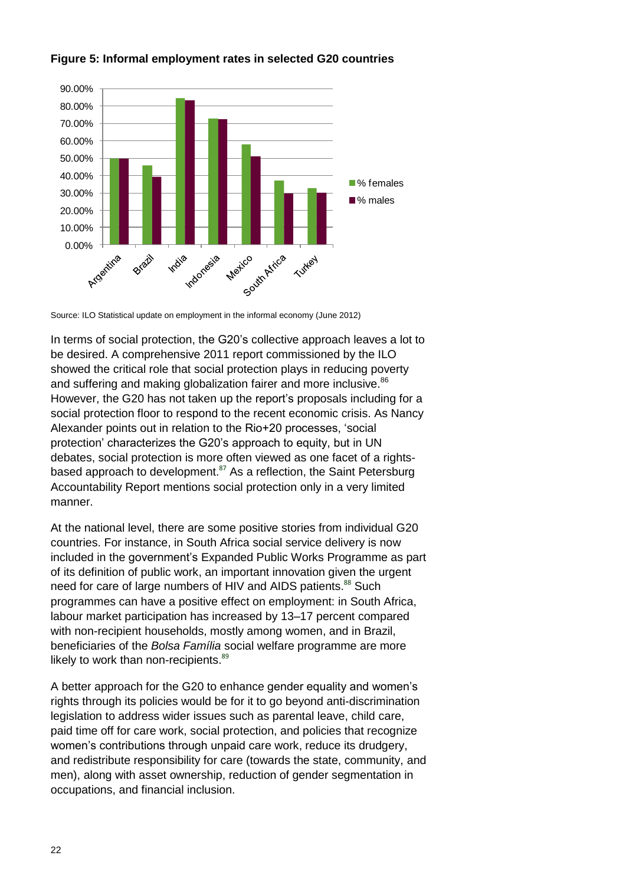

### **Figure 5: Informal employment rates in selected G20 countries**

Source: ILO Statistical update on employment in the informal economy (June 2012)

In terms of social protection, the G20"s collective approach leaves a lot to be desired. A comprehensive 2011 report commissioned by the ILO showed the critical role that social protection plays in reducing poverty and suffering and making globalization fairer and more inclusive.<sup>86</sup> However, the G20 has not taken up the report's proposals including for a social protection floor to respond to the recent economic crisis. As Nancy Alexander points out in relation to the Rio+20 processes, "social protection" characterizes the G20"s approach to equity, but in UN debates, social protection is more often viewed as one facet of a rightsbased approach to development.<sup>87</sup> As a reflection, the Saint Petersburg Accountability Report mentions social protection only in a very limited manner.

At the national level, there are some positive stories from individual G20 countries. For instance, in South Africa social service delivery is now included in the government"s Expanded Public Works Programme as part of its definition of public work, an important innovation given the urgent need for care of large numbers of HIV and AIDS patients.<sup>88</sup> Such programmes can have a positive effect on employment: in South Africa, labour market participation has increased by 13–17 percent compared with non-recipient households, mostly among women, and in Brazil. beneficiaries of the *Bolsa Família* social welfare programme are more likely to work than non-recipients.<sup>89</sup>

A better approach for the G20 to enhance gender equality and women"s rights through its policies would be for it to go beyond anti-discrimination legislation to address wider issues such as parental leave, child care, paid time off for care work, social protection, and policies that recognize women"s contributions through unpaid care work, reduce its drudgery, and redistribute responsibility for care (towards the state, community, and men), along with asset ownership, reduction of gender segmentation in occupations, and financial inclusion.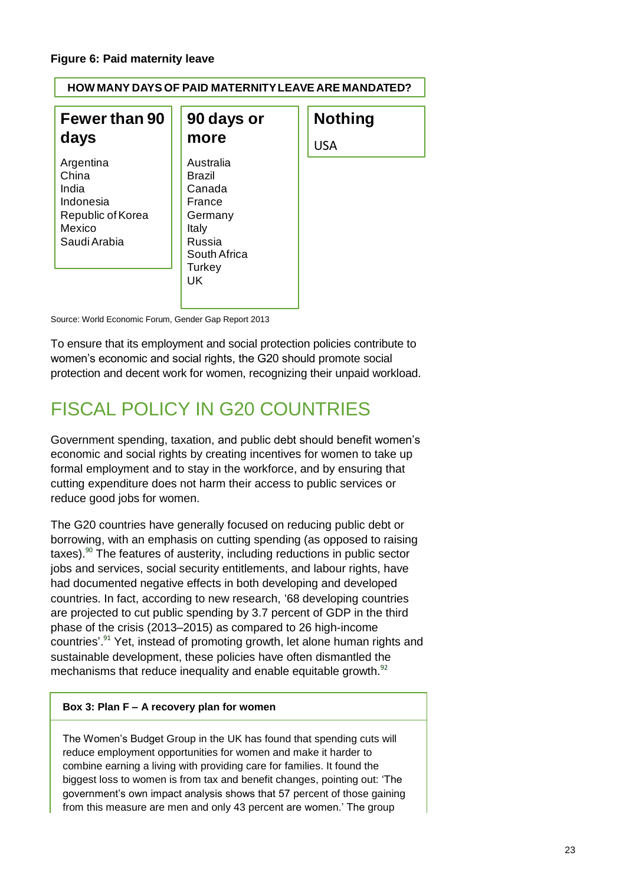| HOW MANY DAYS OF PAID MATERNITY LEAVE ARE MANDATED?                                     |                                                                                                 |                |
|-----------------------------------------------------------------------------------------|-------------------------------------------------------------------------------------------------|----------------|
| <b>Fewer than 90</b>                                                                    | 90 days or                                                                                      | <b>Nothing</b> |
| days                                                                                    | more                                                                                            | <b>USA</b>     |
| Argentina<br>China<br>India<br>Indonesia<br>Republic of Korea<br>Mexico<br>Saudi Arabia | Australia<br>Brazil<br>Canada<br>France<br>Germany<br>Italy<br>Russia<br>South Africa<br>Turkey |                |

Source: World Economic Forum, Gender Gap Report 2013

To ensure that its employment and social protection policies contribute to women"s economic and social rights, the G20 should promote social protection and decent work for women, recognizing their unpaid workload.

# FISCAL POLICY IN G20 COUNTRIES

Government spending, taxation, and public debt should benefit women"s economic and social rights by creating incentives for women to take up formal employment and to stay in the workforce, and by ensuring that cutting expenditure does not harm their access to public services or reduce good jobs for women.

The G20 countries have generally focused on reducing public debt or borrowing, with an emphasis on cutting spending (as opposed to raising taxes). <sup>90</sup> The features of austerity, including reductions in public sector jobs and services, social security entitlements, and labour rights, have had documented negative effects in both developing and developed countries. In fact, according to new research, "68 developing countries are projected to cut public spending by 3.7 percent of GDP in the third phase of the crisis (2013–2015) as compared to 26 high-income countries'.<sup>91</sup> Yet, instead of promoting growth, let alone human rights and sustainable development, these policies have often dismantled the mechanisms that reduce inequality and enable equitable growth.<sup>92</sup>

### **Box 3: Plan F – A recovery plan for women**

The Women"s Budget Group in the UK has found that spending cuts will reduce employment opportunities for women and make it harder to combine earning a living with providing care for families. It found the biggest loss to women is from tax and benefit changes, pointing out: "The government's own impact analysis shows that 57 percent of those gaining from this measure are men and only 43 percent are women." The group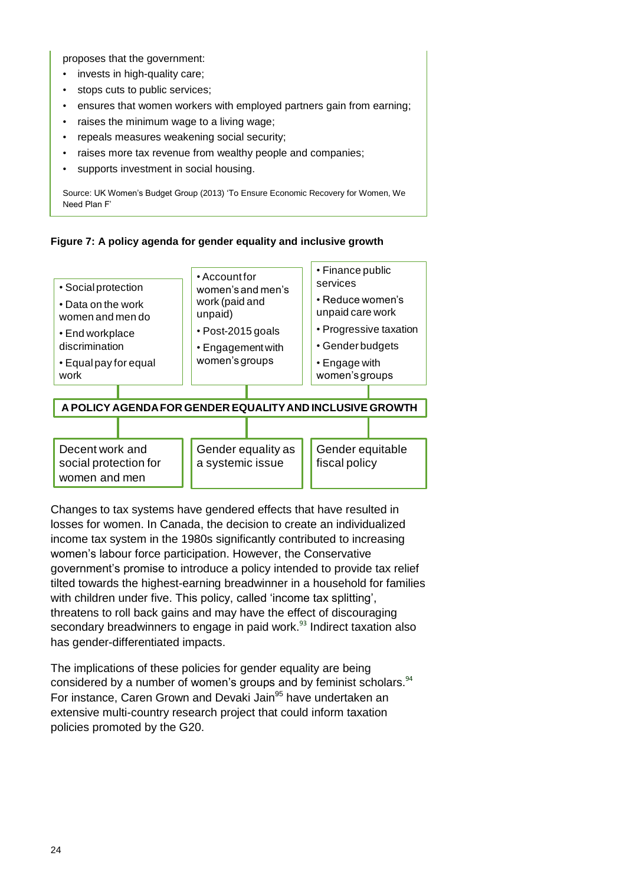proposes that the government:

- invests in high-quality care;
- stops cuts to public services;
- ensures that women workers with employed partners gain from earning;
- raises the minimum wage to a living wage;
- repeals measures weakening social security;
- raises more tax revenue from wealthy people and companies;
- supports investment in social housing.

Source: UK Women"s Budget Group (2013) "To Ensure Economic Recovery for Women, We Need Plan F"





Changes to tax systems have gendered effects that have resulted in losses for women. In Canada, the decision to create an individualized income tax system in the 1980s significantly contributed to increasing women"s labour force participation. However, the Conservative government"s promise to introduce a policy intended to provide tax relief tilted towards the highest-earning breadwinner in a household for families with children under five. This policy, called 'income tax splitting', threatens to roll back gains and may have the effect of discouraging secondary breadwinners to engage in paid work.<sup>93</sup> Indirect taxation also has gender-differentiated impacts.

The implications of these policies for gender equality are being considered by a number of women's groups and by feminist scholars.<sup>94</sup> For instance, Caren Grown and Devaki Jain<sup>95</sup> have undertaken an extensive multi-country research project that could inform taxation policies promoted by the G20.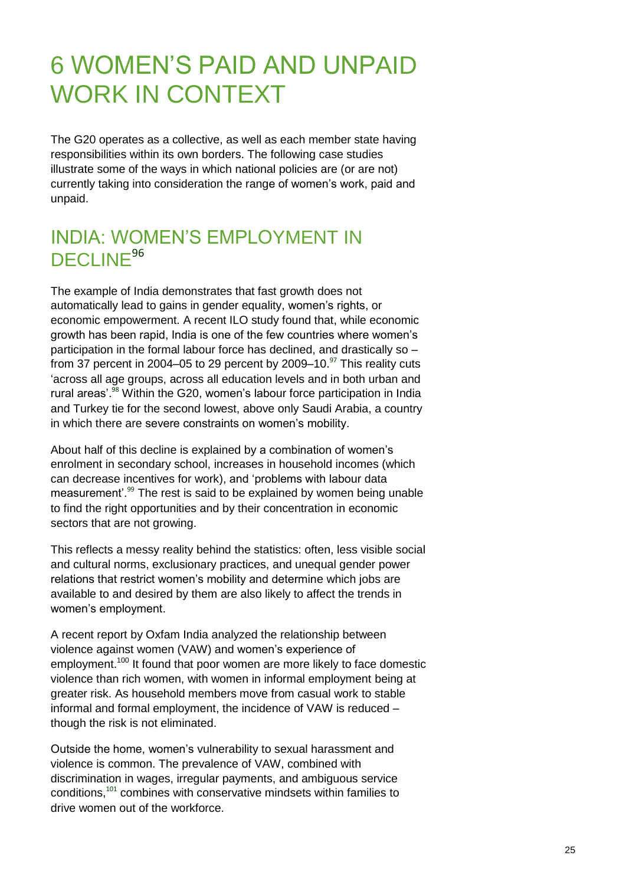# 6 WOMEN"S PAID AND UNPAID WORK IN CONTEXT

The G20 operates as a collective, as well as each member state having responsibilities within its own borders. The following case studies illustrate some of the ways in which national policies are (or are not) currently taking into consideration the range of women"s work, paid and unpaid.

## INDIA: WOMEN"S EMPLOYMENT IN DECLINE<sup>96</sup>

The example of India demonstrates that fast growth does not automatically lead to gains in gender equality, women's rights, or economic empowerment. A recent ILO study found that, while economic growth has been rapid, India is one of the few countries where women"s participation in the formal labour force has declined, and drastically so – from 37 percent in 2004–05 to 29 percent by 2009–10. $\mathrm{^{97}}$  This reality cuts "across all age groups, across all education levels and in both urban and rural areas'.<sup>98</sup> Within the G20, women's labour force participation in India and Turkey tie for the second lowest, above only Saudi Arabia, a country in which there are severe constraints on women's mobility.

About half of this decline is explained by a combination of women"s enrolment in secondary school, increases in household incomes (which can decrease incentives for work), and "problems with labour data measurement'.<sup>99</sup> The rest is said to be explained by women being unable to find the right opportunities and by their concentration in economic sectors that are not growing.

This reflects a messy reality behind the statistics: often, less visible social and cultural norms, exclusionary practices, and unequal gender power relations that restrict women"s mobility and determine which jobs are available to and desired by them are also likely to affect the trends in women"s employment.

A recent report by Oxfam India analyzed the relationship between violence against women (VAW) and women"s experience of employment.<sup>100</sup> It found that poor women are more likely to face domestic violence than rich women, with women in informal employment being at greater risk. As household members move from casual work to stable informal and formal employment, the incidence of VAW is reduced – though the risk is not eliminated.

Outside the home, women"s vulnerability to sexual harassment and violence is common. The prevalence of VAW, combined with discrimination in wages, irregular payments, and ambiguous service conditions,<sup>101</sup> combines with conservative mindsets within families to drive women out of the workforce.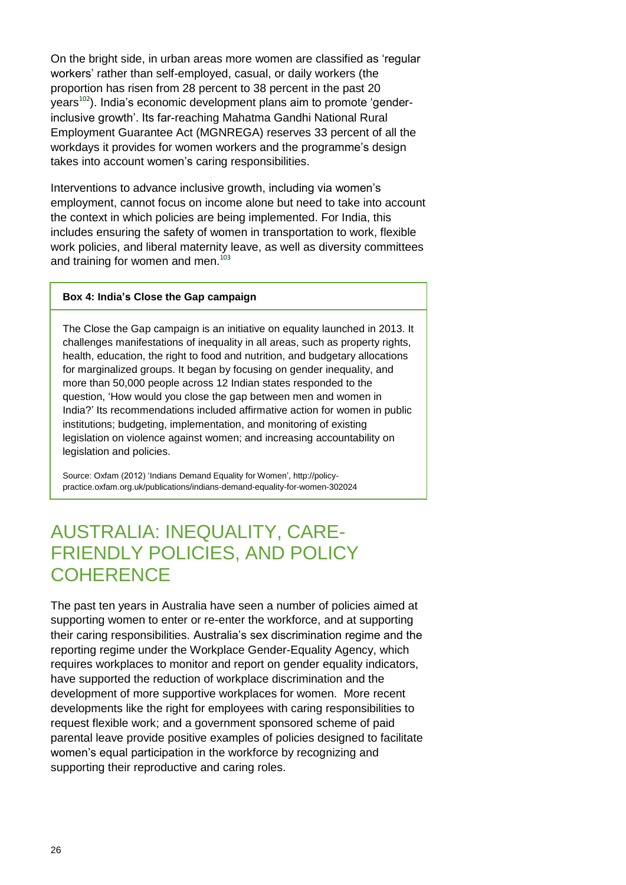On the bright side, in urban areas more women are classified as "regular workers" rather than self-employed, casual, or daily workers (the proportion has risen from 28 percent to 38 percent in the past 20 years<sup>102</sup>). India's economic development plans aim to promote 'genderinclusive growth". Its far-reaching Mahatma Gandhi National Rural Employment Guarantee Act (MGNREGA) reserves 33 percent of all the workdays it provides for women workers and the programme's design takes into account women's caring responsibilities.

Interventions to advance inclusive growth, including via women"s employment, cannot focus on income alone but need to take into account the context in which policies are being implemented. For India, this includes ensuring the safety of women in transportation to work, flexible work policies, and liberal maternity leave, as well as diversity committees and training for women and men.<sup>103</sup>

#### **Box 4: India's Close the Gap campaign**

The Close the Gap campaign is an initiative on equality launched in 2013. It challenges manifestations of inequality in all areas, such as property rights, health, education, the right to food and nutrition, and budgetary allocations for marginalized groups. It began by focusing on gender inequality, and more than 50,000 people across 12 Indian states responded to the question, "How would you close the gap between men and women in India?" Its recommendations included affirmative action for women in public institutions; budgeting, implementation, and monitoring of existing legislation on violence against women; and increasing accountability on legislation and policies.

Source: Oxfam (2012) 'Indians Demand Equality for Women', http://policypractice.oxfam.org.uk/publications/indians-demand-equality-for-women-302024

## AUSTRALIA: INEQUALITY, CARE-FRIENDLY POLICIES, AND POLICY **COHERENCE**

The past ten years in Australia have seen a number of policies aimed at supporting women to enter or re-enter the workforce, and at supporting their caring responsibilities. Australia"s sex discrimination regime and the reporting regime under the Workplace Gender-Equality Agency, which requires workplaces to monitor and report on gender equality indicators, have supported the reduction of workplace discrimination and the development of more supportive workplaces for women. More recent developments like the right for employees with caring responsibilities to request flexible work; and a government sponsored scheme of paid parental leave provide positive examples of policies designed to facilitate women"s equal participation in the workforce by recognizing and supporting their reproductive and caring roles.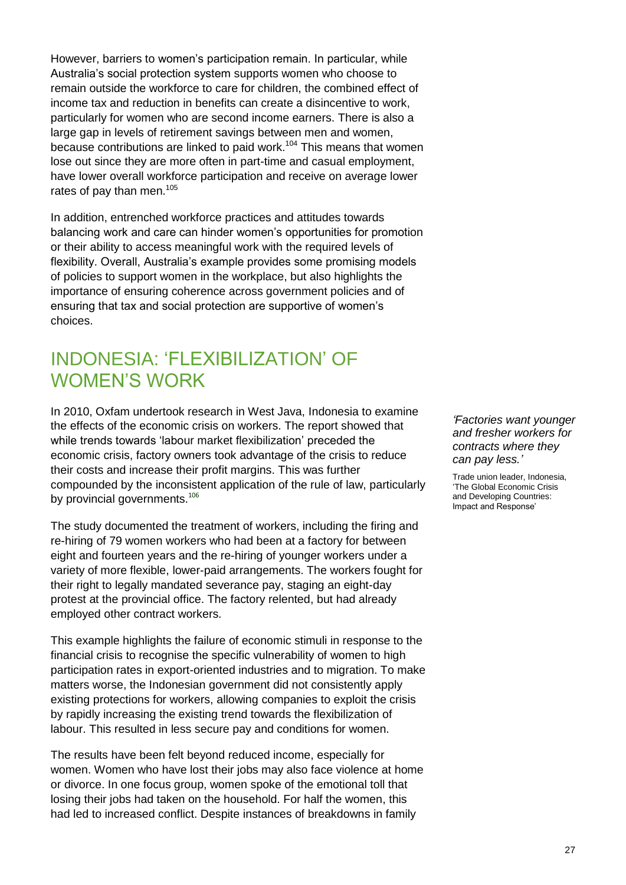However, barriers to women"s participation remain. In particular, while Australia"s social protection system supports women who choose to remain outside the workforce to care for children, the combined effect of income tax and reduction in benefits can create a disincentive to work, particularly for women who are second income earners. There is also a large gap in levels of retirement savings between men and women, because contributions are linked to paid work.<sup>104</sup> This means that women lose out since they are more often in part-time and casual employment, have lower overall workforce participation and receive on average lower rates of pay than men.<sup>105</sup>

In addition, entrenched workforce practices and attitudes towards balancing work and care can hinder women"s opportunities for promotion or their ability to access meaningful work with the required levels of flexibility. Overall, Australia's example provides some promising models of policies to support women in the workplace, but also highlights the importance of ensuring coherence across government policies and of ensuring that tax and social protection are supportive of women"s choices.

## INDONESIA: "FLEXIBILIZATION" OF WOMEN"S WORK

In 2010, Oxfam undertook research in West Java, Indonesia to examine the effects of the economic crisis on workers. The report showed that while trends towards 'labour market flexibilization' preceded the economic crisis, factory owners took advantage of the crisis to reduce their costs and increase their profit margins. This was further compounded by the inconsistent application of the rule of law, particularly by provincial governments.<sup>106</sup>

The study documented the treatment of workers, including the firing and re-hiring of 79 women workers who had been at a factory for between eight and fourteen years and the re-hiring of younger workers under a variety of more flexible, lower-paid arrangements. The workers fought for their right to legally mandated severance pay, staging an eight-day protest at the provincial office. The factory relented, but had already employed other contract workers.

This example highlights the failure of economic stimuli in response to the financial crisis to recognise the specific vulnerability of women to high participation rates in export-oriented industries and to migration. To make matters worse, the Indonesian government did not consistently apply existing protections for workers, allowing companies to exploit the crisis by rapidly increasing the existing trend towards the flexibilization of labour. This resulted in less secure pay and conditions for women.

The results have been felt beyond reduced income, especially for women. Women who have lost their jobs may also face violence at home or divorce. In one focus group, women spoke of the emotional toll that losing their jobs had taken on the household. For half the women, this had led to increased conflict. Despite instances of breakdowns in family

#### *"Factories want younger and fresher workers for contracts where they can pay less."*

Trade union leader, Indonesia, "The Global Economic Crisis and Developing Countries: Impact and Response"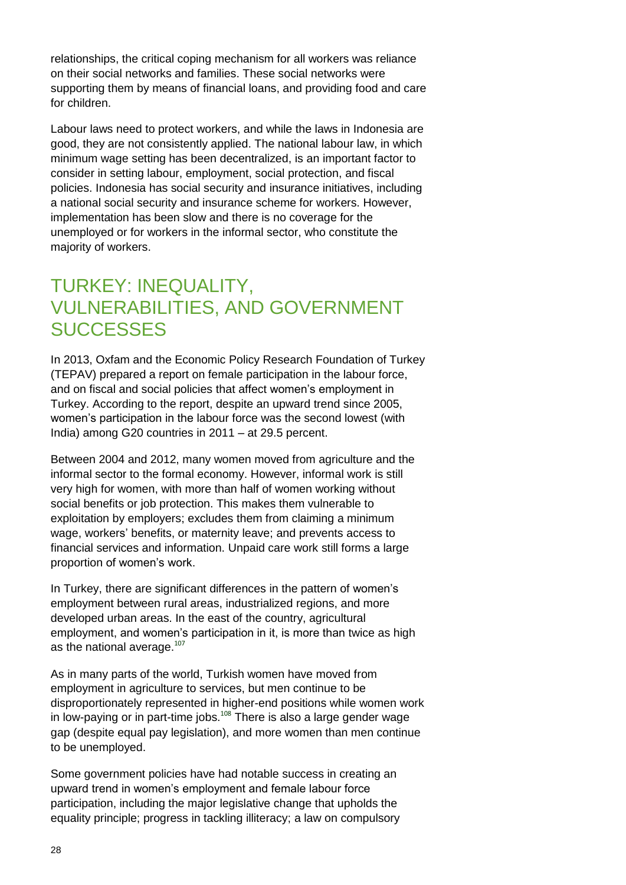relationships, the critical coping mechanism for all workers was reliance on their social networks and families. These social networks were supporting them by means of financial loans, and providing food and care for children.

Labour laws need to protect workers, and while the laws in Indonesia are good, they are not consistently applied. The national labour law, in which minimum wage setting has been decentralized, is an important factor to consider in setting labour, employment, social protection, and fiscal policies. Indonesia has social security and insurance initiatives, including a national social security and insurance scheme for workers. However, implementation has been slow and there is no coverage for the unemployed or for workers in the informal sector, who constitute the majority of workers.

## TURKEY: INEQUALITY, VULNERABILITIES, AND GOVERNMENT **SUCCESSES**

In 2013, Oxfam and the Economic Policy Research Foundation of Turkey (TEPAV) prepared a report on female participation in the labour force, and on fiscal and social policies that affect women"s employment in Turkey. According to the report, despite an upward trend since 2005, women"s participation in the labour force was the second lowest (with India) among G20 countries in 2011 – at 29.5 percent.

Between 2004 and 2012, many women moved from agriculture and the informal sector to the formal economy. However, informal work is still very high for women, with more than half of women working without social benefits or job protection. This makes them vulnerable to exploitation by employers; excludes them from claiming a minimum wage, workers" benefits, or maternity leave; and prevents access to financial services and information. Unpaid care work still forms a large proportion of women"s work.

In Turkey, there are significant differences in the pattern of women's employment between rural areas, industrialized regions, and more developed urban areas. In the east of the country, agricultural employment, and women"s participation in it, is more than twice as high as the national average. $107$ 

As in many parts of the world, Turkish women have moved from employment in agriculture to services, but men continue to be disproportionately represented in higher-end positions while women work in low-paying or in part-time jobs.<sup>108</sup> There is also a large gender wage gap (despite equal pay legislation), and more women than men continue to be unemployed.

Some government policies have had notable success in creating an upward trend in women"s employment and female labour force participation, including the major legislative change that upholds the equality principle; progress in tackling illiteracy; a law on compulsory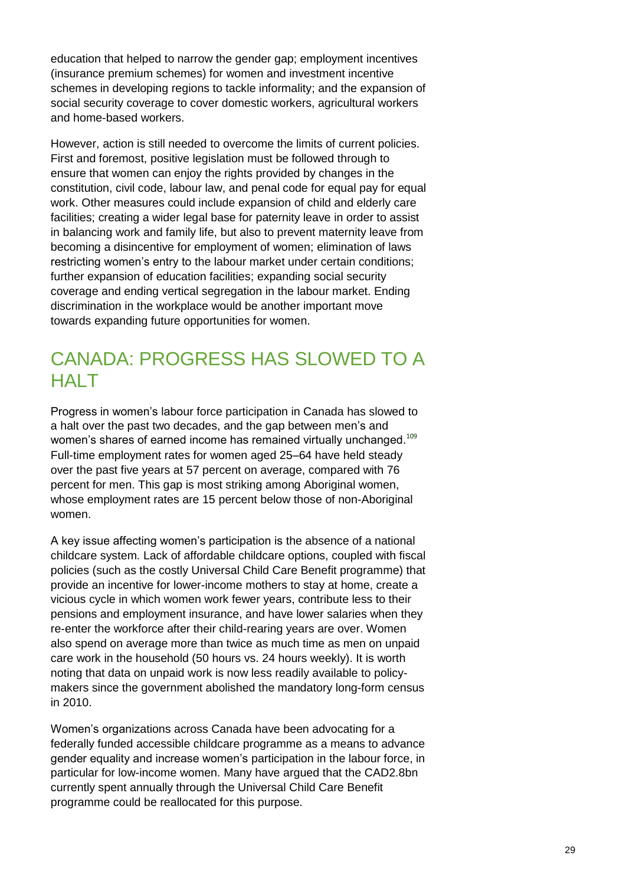education that helped to narrow the gender gap; employment incentives (insurance premium schemes) for women and investment incentive schemes in developing regions to tackle informality; and the expansion of social security coverage to cover domestic workers, agricultural workers and home-based workers.

However, action is still needed to overcome the limits of current policies. First and foremost, positive legislation must be followed through to ensure that women can enjoy the rights provided by changes in the constitution, civil code, labour law, and penal code for equal pay for equal work. Other measures could include expansion of child and elderly care facilities; creating a wider legal base for paternity leave in order to assist in balancing work and family life, but also to prevent maternity leave from becoming a disincentive for employment of women; elimination of laws restricting women's entry to the labour market under certain conditions; further expansion of education facilities; expanding social security coverage and ending vertical segregation in the labour market. Ending discrimination in the workplace would be another important move towards expanding future opportunities for women.

## CANADA: PROGRESS HAS SLOWED TO A HALT

Progress in women"s labour force participation in Canada has slowed to a halt over the past two decades, and the gap between men"s and women's shares of earned income has remained virtually unchanged.<sup>109</sup> Full-time employment rates for women aged 25–64 have held steady over the past five years at 57 percent on average, compared with 76 percent for men. This gap is most striking among Aboriginal women, whose employment rates are 15 percent below those of non-Aboriginal women.

A key issue affecting women"s participation is the absence of a national childcare system. Lack of affordable childcare options, coupled with fiscal policies (such as the costly Universal Child Care Benefit programme) that provide an incentive for lower-income mothers to stay at home, create a vicious cycle in which women work fewer years, contribute less to their pensions and employment insurance, and have lower salaries when they re-enter the workforce after their child-rearing years are over. Women also spend on average more than twice as much time as men on unpaid care work in the household (50 hours vs. 24 hours weekly). It is worth noting that data on unpaid work is now less readily available to policymakers since the government abolished the mandatory long-form census in 2010.

Women"s organizations across Canada have been advocating for a federally funded accessible childcare programme as a means to advance gender equality and increase women"s participation in the labour force, in particular for low-income women. Many have argued that the CAD2.8bn currently spent annually through the Universal Child Care Benefit programme could be reallocated for this purpose.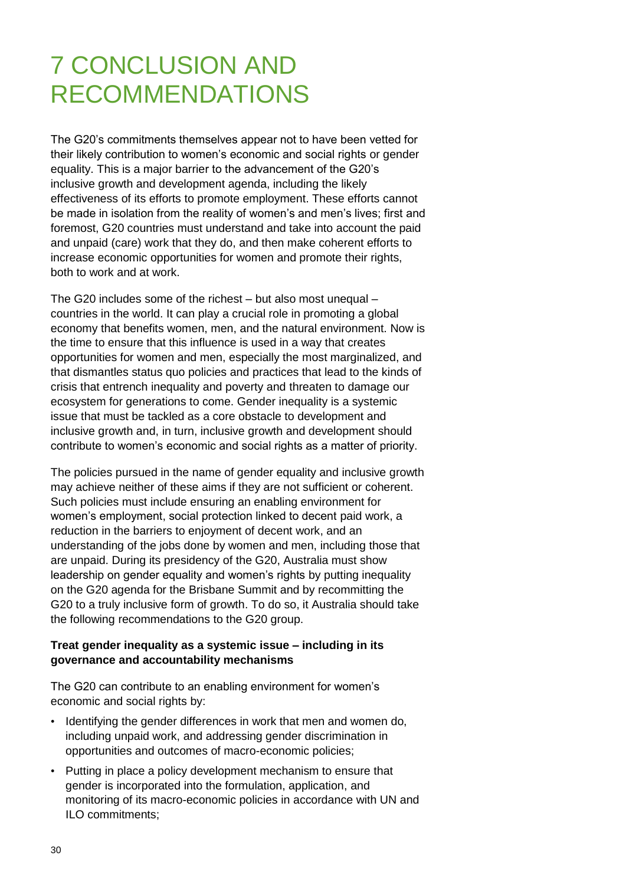# 7 CONCLUSION AND RECOMMENDATIONS

The G20"s commitments themselves appear not to have been vetted for their likely contribution to women"s economic and social rights or gender equality. This is a major barrier to the advancement of the G20"s inclusive growth and development agenda, including the likely effectiveness of its efforts to promote employment. These efforts cannot be made in isolation from the reality of women's and men's lives; first and foremost, G20 countries must understand and take into account the paid and unpaid (care) work that they do, and then make coherent efforts to increase economic opportunities for women and promote their rights, both to work and at work.

The G20 includes some of the richest – but also most unequal – countries in the world. It can play a crucial role in promoting a global economy that benefits women, men, and the natural environment. Now is the time to ensure that this influence is used in a way that creates opportunities for women and men, especially the most marginalized, and that dismantles status quo policies and practices that lead to the kinds of crisis that entrench inequality and poverty and threaten to damage our ecosystem for generations to come. Gender inequality is a systemic issue that must be tackled as a core obstacle to development and inclusive growth and, in turn, inclusive growth and development should contribute to women"s economic and social rights as a matter of priority.

The policies pursued in the name of gender equality and inclusive growth may achieve neither of these aims if they are not sufficient or coherent. Such policies must include ensuring an enabling environment for women"s employment, social protection linked to decent paid work, a reduction in the barriers to enjoyment of decent work, and an understanding of the jobs done by women and men, including those that are unpaid. During its presidency of the G20, Australia must show leadership on gender equality and women's rights by putting inequality on the G20 agenda for the Brisbane Summit and by recommitting the G20 to a truly inclusive form of growth. To do so, it Australia should take the following recommendations to the G20 group.

### **Treat gender inequality as a systemic issue – including in its governance and accountability mechanisms**

The G20 can contribute to an enabling environment for women"s economic and social rights by:

- Identifying the gender differences in work that men and women do, including unpaid work, and addressing gender discrimination in opportunities and outcomes of macro-economic policies;
- Putting in place a policy development mechanism to ensure that gender is incorporated into the formulation, application, and monitoring of its macro-economic policies in accordance with UN and ILO commitments;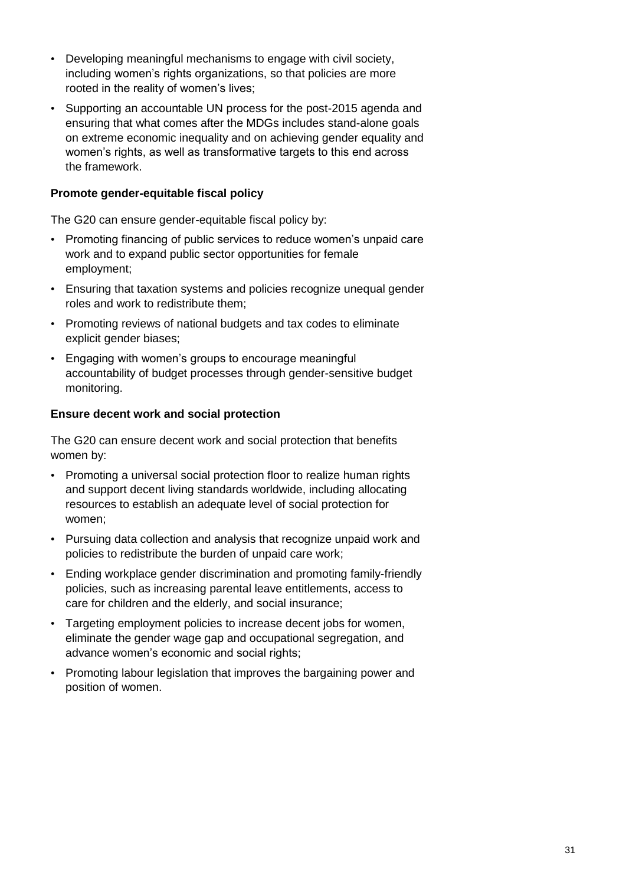- Developing meaningful mechanisms to engage with civil society, including women's rights organizations, so that policies are more rooted in the reality of women's lives;
- Supporting an accountable UN process for the post-2015 agenda and ensuring that what comes after the MDGs includes stand-alone goals on extreme economic inequality and on achieving gender equality and women"s rights, as well as transformative targets to this end across the framework.

### **Promote gender-equitable fiscal policy**

The G20 can ensure gender-equitable fiscal policy by:

- Promoting financing of public services to reduce women"s unpaid care work and to expand public sector opportunities for female employment;
- Ensuring that taxation systems and policies recognize unequal gender roles and work to redistribute them;
- Promoting reviews of national budgets and tax codes to eliminate explicit gender biases;
- Engaging with women"s groups to encourage meaningful accountability of budget processes through gender-sensitive budget monitoring.

### **Ensure decent work and social protection**

The G20 can ensure decent work and social protection that benefits women by:

- Promoting a universal social protection floor to realize human rights and support decent living standards worldwide, including allocating resources to establish an adequate level of social protection for women;
- Pursuing data collection and analysis that recognize unpaid work and policies to redistribute the burden of unpaid care work;
- Ending workplace gender discrimination and promoting family-friendly policies, such as increasing parental leave entitlements, access to care for children and the elderly, and social insurance;
- Targeting employment policies to increase decent jobs for women, eliminate the gender wage gap and occupational segregation, and advance women"s economic and social rights;
- Promoting labour legislation that improves the bargaining power and position of women.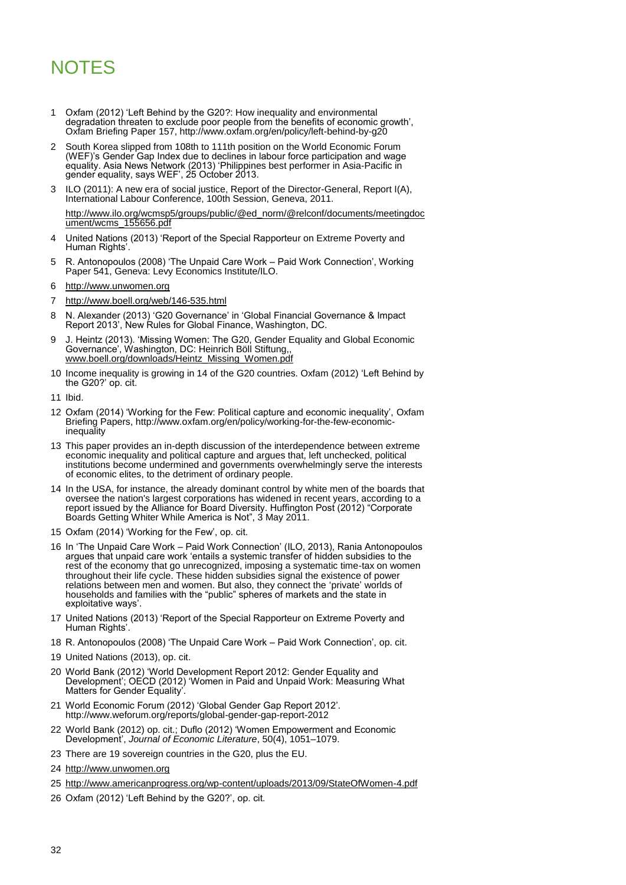# **NOTES**

- 1 Oxfam (2012) "Left Behind by the G20?: How inequality and environmental degradation threaten to exclude poor people from the benefits of economic growth", Oxfam Briefing Paper 157,<http://www.oxfam.org/en/policy/left-behind-by-g20>
- 2 South Korea slipped from 108th to 111th position on the World Economic Forum (WEF)"s Gender Gap Index due to declines in labour force participation and wage equality. Asia News Network (2013) "Philippines best performer in Asia-Pacific in gender equality, says WEF", 25 October 2013.
- 3 ILO (2011): A new era of social justice, Report of the Director-General, Report I(A), International Labour Conference, 100th Session, Geneva, 2011. [http://www.ilo.org/wcmsp5/groups/public/@ed\\_norm/@relconf/documents/meetingdoc](http://www.ilo.org/wcmsp5/groups/public/@ed_norm/@relconf/documents/meetingdocument/wcms_155656.pdf)
- 4 United Nations (2013) "Report of the Special Rapporteur on Extreme Poverty and Human Rights'
- 5 R. Antonopoulos (2008) "The Unpaid Care Work Paid Work Connection", Working Paper 541, Geneva: Levy Economics Institute/ILO.
- 6 [http://www.unwomen.org](http://www.unwomen.org/)

[ument/wcms\\_155656.pdf](http://www.ilo.org/wcmsp5/groups/public/@ed_norm/@relconf/documents/meetingdocument/wcms_155656.pdf)

- 7 <http://www.boell.org/web/146-535.html>
- 8 N. Alexander (2013) "G20 Governance" in "Global Financial Governance & Impact Report 2013", New Rules for Global Finance, Washington, DC.
- J. Heintz (2013). 'Missing Women: The G20, Gender Equality and Global Economic Governance", Washington, DC: Heinrich Böll Stiftung,, [www.boell.org/downloads/Heintz\\_Missing\\_Women.pdf](http://www.boell.org/downloads/Heintz_Missing_Women.pdf)
- 10 Income inequality is growing in 14 of the G20 countries. Oxfam (2012) "Left Behind by the G20?' op. cit.
- 11 Ibid.
- 12 Oxfam (2014) "Working for the Few: Political capture and economic inequality", Oxfam Briefing Papers, [http://www.oxfam.org/en/policy/working-for-the-few-economic](http://www.oxfam.org/en/policy/working-for-the-few-economic-inequality)inequality
- 13 This paper provides an in-depth discussion of the interdependence between extreme economic inequality and political capture and argues that, left unchecked, political institutions become undermined and governments overwhelmingly serve the interests of economic elites, to the detriment of ordinary people.
- 14 In the USA, for instance, the already dominant control by white men of the boards that oversee the nation's largest corporations has widened in recent years, according to a [report](http://www.catalyst.org/file/469/abd2010reportonly__final.pdf) issued by the Alliance for Board Diversity. Huffington Post (2012) "Corporate Boards Getting Whiter While America is Not", 3 May 2011.
- 15 Oxfam (2014) "Working for the Few", op. cit.
- 16 In "The Unpaid Care Work Paid Work Connection" (ILO, 2013), Rania Antonopoulos argues that unpaid care work "entails a systemic transfer of hidden subsidies to the rest of the economy that go unrecognized, imposing a systematic time-tax on women throughout their life cycle. These hidden subsidies signal the existence of power relations between men and women. But also, they connect the "private" worlds of households and families with the "public" spheres of markets and the state in exploitative ways".
- 17 United Nations (2013) "Report of the Special Rapporteur on Extreme Poverty and Human Rights".
- 18 R. Antonopoulos (2008) "The Unpaid Care Work Paid Work Connection", op. cit.
- 19 United Nations (2013), op. cit.
- 20 World Bank (2012) "World Development Report 2012: Gender Equality and Development"; OECD (2012) "Women in Paid and Unpaid Work: Measuring What Matters for Gender Equality'
- 21 World Economic Forum (2012) "Global Gender Gap Report 2012". <http://www.weforum.org/reports/global-gender-gap-report-2012>
- 22 World Bank (2012) op. cit.; Duflo (2012) "Women Empowerment and Economic Development", *Journal of Economic Literature*, 50(4), 1051–1079.
- 23 There are 19 sovereign countries in the G20, plus the EU.
- 24 [http://www.unwomen.org](http://www.unwomen.org/)
- 25<http://www.americanprogress.org/wp-content/uploads/2013/09/StateOfWomen-4.pdf>
- 26 Oxfam (2012) 'Left Behind by the G20?', op. cit.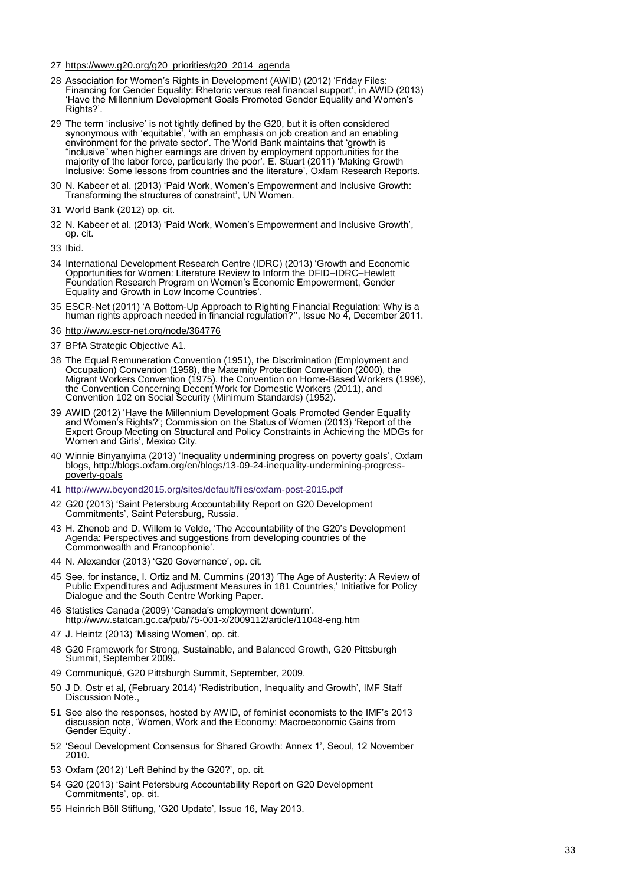- 27 [https://www.g20.org/g20\\_priorities/g20\\_2014\\_agenda](https://www.g20.org/g20_priorities/g20_2014_agenda)
- 28 Association for Women"s Rights in Development (AWID) (2012) "Friday Files: Financing for Gender Equality: Rhetoric versus real financial support", in AWID (2013) "Have the Millennium Development Goals Promoted Gender Equality and Women"s Rights?'.
- 29 The term "inclusive" is not tightly defined by the G20, but it is often considered synonymous with "equitable", "with an emphasis on job creation and an enabling environment for the private sector". The World Bank maintains that "growth is "inclusive" when higher earnings are driven by employment opportunities for the majority of the labor force, particularly the poor". E. Stuart (2011) "Making Growth Inclusive: Some lessons from countries and the literature", Oxfam Research Reports.
- 30 N. Kabeer et al. (2013) "Paid Work, Women"s Empowerment and Inclusive Growth: Transforming the structures of constraint', UN Women.
- 31 World Bank (2012) op. cit.
- 32 N. Kabeer et al. (2013) "Paid Work, Women"s Empowerment and Inclusive Growth", op. cit.
- 33 Ibid.
- 34 International Development Research Centre (IDRC) (2013) "Growth and Economic Opportunities for Women: Literature Review to Inform the DFID–IDRC–Hewlett Foundation Research Program on Women"s Economic Empowerment, Gender Equality and Growth in Low Income Countries".
- 35 ESCR-Net (2011) "A Bottom-Up Approach to Righting Financial Regulation: Why is a human rights approach needed in financial regulation?", Issue No 4, December 2011.
- 36<http://www.escr-net.org/node/364776>
- 37 BPfA Strategic Objective A1.
- 38 The Equal Remuneration Convention (1951), the Discrimination (Employment and Occupation) Convention (1958), the Maternity Protection Convention (2000), the Migrant Workers Convention (1975), the Convention on Home-Based Workers (1996), the Convention Concerning Decent Work for Domestic Workers (2011), and Convention 102 on Social Security (Minimum Standards) (1952).
- 39 AWID (2012) "Have the Millennium Development Goals Promoted Gender Equality and Women"s Rights?"; Commission on the Status of Women (2013) "Report of the Expert Group Meeting on Structural and Policy Constraints in Achieving the MDGs for Women and Girls", Mexico City.
- 40 Winnie Binyanyima (2013) "Inequality undermining progress on poverty goals", Oxfam blogs, [http://blogs.oxfam.org/en/blogs/13-09-24-inequality-undermining-progress](http://blogs.oxfam.org/en/blogs/13-09-24-inequality-undermining-progress-poverty-goals)[poverty-goals](http://blogs.oxfam.org/en/blogs/13-09-24-inequality-undermining-progress-poverty-goals)
- 41<http://www.beyond2015.org/sites/default/files/oxfam-post-2015.pdf>
- 42 G20 (2013) "Saint Petersburg Accountability Report on G20 Development Commitments", Saint Petersburg, Russia.
- 43 H. Zhenob and D. Willem te Velde, "The Accountability of the G20"s Development Agenda: Perspectives and suggestions from developing countries of the Commonwealth and Francophonie".
- 44 N. Alexander (2013) "G20 Governance", op. cit.
- 45 See, for instance, I. Ortiz and M. Cummins (2013) "The Age of Austerity: A Review of Public Expenditures and Adjustment Measures in 181 Countries,' Initiative for Policy Dialogue and the South Centre Working Paper.
- 46 Statistics Canada (2009) "Canada"s employment downturn". <http://www.statcan.gc.ca/pub/75-001-x/2009112/article/11048-eng.htm>
- 47 J. Heintz (2013) "Missing Women", op. cit.
- 48 G20 Framework for Strong, Sustainable, and Balanced Growth, G20 Pittsburgh Summit, September 2009.
- 49 Communiqué, G20 Pittsburgh Summit, September, 2009.
- 50 J D. Ostr et al, (February 2014) "Redistribution, Inequality and Growth", IMF Staff Discussion Note.,
- 51 See also the responses, hosted by AWID, of feminist economists to the IMF"s 2013 discussion note, "Women, Work and the Economy: Macroeconomic Gains from Gender Equity'.
- 52 "Seoul Development Consensus for Shared Growth: Annex 1", Seoul, 12 November 2010.
- 53 Oxfam (2012) 'Left Behind by the G20?', op. cit.
- 54 G20 (2013) "Saint Petersburg Accountability Report on G20 Development Commitments", op. cit.
- 55 Heinrich Böll Stiftung, "G20 Update", Issue 16, May 2013.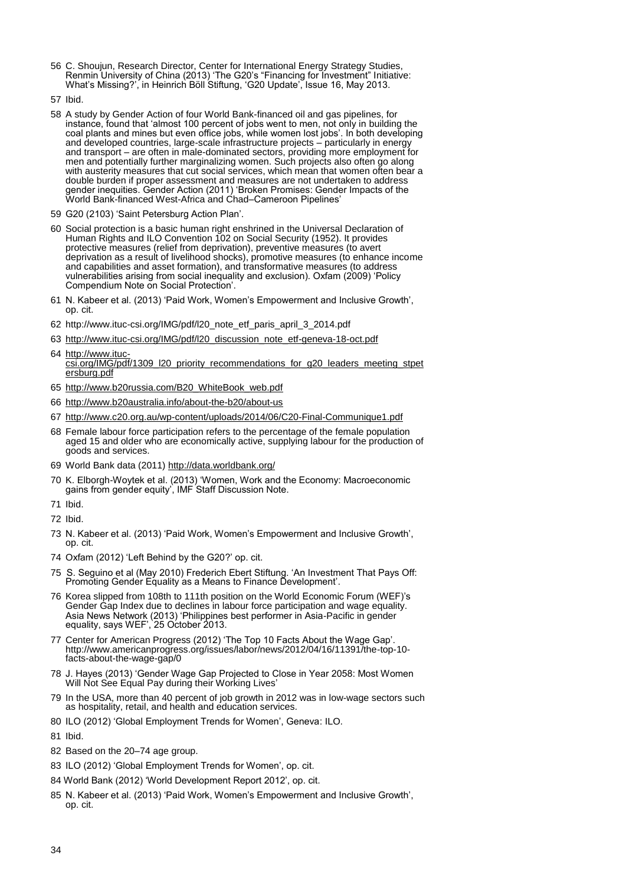- 56 C. Shoujun, Research Director, Center for International Energy Strategy Studies, Renmin University of China (2013) "The G20"s "Financing for Investment" Initiative: What"s Missing?", in Heinrich Böll Stiftung, "G20 Update", Issue 16, May 2013.
- 57 Ibid.
- 58 A study by Gender Action of four World Bank-financed oil and gas pipelines, for instance, found that "almost 100 percent of jobs went to men, not only in building the coal plants and mines but even office jobs, while women lost jobs". In both developing and developed countries, large-scale infrastructure projects – particularly in energy and transport – are often in male-dominated sectors, providing more employment for men and potentially further marginalizing women. Such projects also often go along with austerity measures that cut social services, which mean that women often bear a double burden if proper assessment and measures are not undertaken to address gender inequities. Gender Action (2011) "Broken Promises: Gender Impacts of the World Bank-financed West-Africa and Chad–Cameroon Pipelines"
- 59 G20 (2103) "Saint Petersburg Action Plan".
- 60 Social protection is a basic human right enshrined in the Universal Declaration of Human Rights and ILO Convention 102 on Social Security (1952). It provides protective measures (relief from deprivation), preventive measures (to avert deprivation as a result of livelihood shocks), promotive measures (to enhance income and capabilities and asset formation), and transformative measures (to address vulnerabilities arising from social inequality and exclusion). Oxfam (2009) "Policy Compendium Note on Social Protection".
- 61 N. Kabeer et al. (2013) "Paid Work, Women"s Empowerment and Inclusive Growth", op. cit.
- 62 [http://www.ituc-csi.org/IMG/pdf/l20\\_note\\_etf\\_paris\\_april\\_3\\_2014.pdf](http://www.ituc-csi.org/IMG/pdf/l20_note_etf_paris_april_3_2014.pdf)
- 63 [http://www.ituc-csi.org/IMG/pdf/l20\\_discussion\\_note\\_etf-geneva-18-oct.pdf](http://www.ituc-csi.org/IMG/pdf/l20_discussion_note_etf-geneva-18-oct.pdf)
- 64 [http://www.ituc](http://www.ituc-csi.org/IMG/pdf/1309_l20_priority_recommendations_for_g20_leaders_meeting_stpetersburg.pdf)[csi.org/IMG/pdf/1309\\_l20\\_priority\\_recommendations\\_for\\_g20\\_leaders\\_meeting\\_stpet](http://www.ituc-csi.org/IMG/pdf/1309_l20_priority_recommendations_for_g20_leaders_meeting_stpetersburg.pdf) [ersburg.pdf](http://www.ituc-csi.org/IMG/pdf/1309_l20_priority_recommendations_for_g20_leaders_meeting_stpetersburg.pdf)
- 65 [http://www.b20russia.com/B20\\_WhiteBook\\_web.pdf](http://www.b20russia.com/B20_WhiteBook_web.pdf)
- 66<http://www.b20australia.info/about-the-b20/about-us>
- 67<http://www.c20.org.au/wp-content/uploads/2014/06/C20-Final-Communique1.pdf>
- 68 Female labour force participation refers to the percentage of the female population aged 15 and older who are economically active, supplying labour for the production of goods and services.
- 69 World Bank data (2011)<http://data.worldbank.org/>
- 70 K. Elborgh-Woytek et al. (2013) "Women, Work and the Economy: Macroeconomic gains from gender equity", IMF Staff Discussion Note.
- 71 Ibid.
- 72 Ibid.
- 73 N. Kabeer et al. (2013) "Paid Work, Women"s Empowerment and Inclusive Growth", op. cit.
- 74 Oxfam (2012) 'Left Behind by the G20?' op. cit.
- 75 S. Seguino et al (May 2010) Frederich Ebert Stiftung. "An Investment That Pays Off: Promoting Gender Equality as a Means to Finance Development'.
- 76 Korea slipped from 108th to 111th position on the World Economic Forum (WEF)"s Gender Gap Index due to declines in labour force participation and wage equality. Asia News Network (2013) "Philippines best performer in Asia-Pacific in gender equality, says WEF", 25 October 2013.
- 77 Center for American Progress (2012) "The Top 10 Facts About the Wage Gap". [http://www.americanprogress.org/issues/labor/news/2012/04/16/11391/the-top-10](http://www.americanprogress.org/issues/labor/news/2012/04/16/11391/the-top-10-facts-about-the-wage-gap/0) [facts-about-the-wage-gap/0](http://www.americanprogress.org/issues/labor/news/2012/04/16/11391/the-top-10-facts-about-the-wage-gap/0)
- 78 J. Hayes (2013) "Gender Wage Gap Projected to Close in Year 2058: Most Women Will Not See Equal Pay during their Working Lives'
- 79 In the USA, more than 40 percent of job growth in 2012 was in low-wage sectors such as hospitality, retail, and health and education services.
- 80 ILO (2012) 'Global Employment Trends for Women', Geneva: ILO.
- 81 Ibid.
- 82 Based on the 20–74 age group.
- 83 ILO (2012) 'Global Employment Trends for Women', op. cit.
- 84 World Bank (2012) "World Development Report 2012", op. cit.
- 85 N. Kabeer et al. (2013) 'Paid Work, Women's Empowerment and Inclusive Growth', op. cit.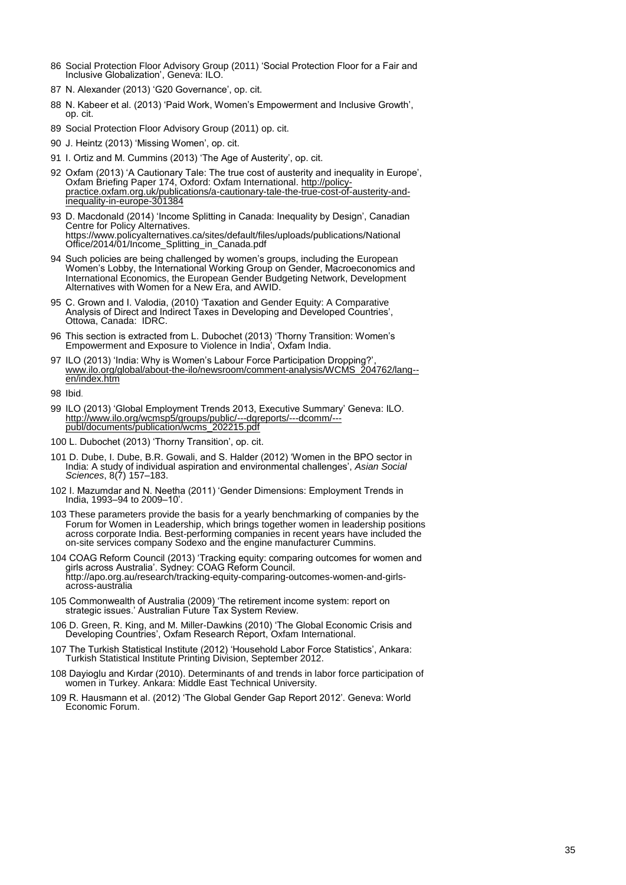- 86 Social Protection Floor Advisory Group (2011) "Social Protection Floor for a Fair and Inclusive Globalization", Geneva: ILO.
- 87 N. Alexander (2013) 'G20 Governance', op. cit.
- 88 N. Kabeer et al. (2013) 'Paid Work, Women's Empowerment and Inclusive Growth', op. cit.
- 89 Social Protection Floor Advisory Group (2011) op. cit.
- 90 J. Heintz (2013) 'Missing Women', op. cit.
- 91 I. Ortiz and M. Cummins (2013) 'The Age of Austerity', op. cit.
- 92 Oxfam (2013) 'A Cautionary Tale: The true cost of austerity and inequality in Europe', Oxfam Briefing Paper 174, Oxford: Oxfam International[. http://policy](http://policy-practice.oxfam.org.uk/publications/a-cautionary-tale-the-true-cost-of-austerity-and-inequality-in-europe-301384)[practice.oxfam.org.uk/publications/a-cautionary-tale-the-true-cost-of-austerity-and](http://policy-practice.oxfam.org.uk/publications/a-cautionary-tale-the-true-cost-of-austerity-and-inequality-in-europe-301384)[inequality-in-europe-301384](http://policy-practice.oxfam.org.uk/publications/a-cautionary-tale-the-true-cost-of-austerity-and-inequality-in-europe-301384)
- 93 D. Macdonald (2014) "Income Splitting in Canada: Inequality by Design", Canadian Centre for Policy Alternatives. [https://www.policyalternatives.ca/sites/default/files/uploads/publications/National](https://www.policyalternatives.ca/sites/default/files/uploads/publications/National%20Office/2014/01/Income_Splitting_in_Canada.pdf)  [Office/2014/01/Income\\_Splitting\\_in\\_Canada.pdf](https://www.policyalternatives.ca/sites/default/files/uploads/publications/National%20Office/2014/01/Income_Splitting_in_Canada.pdf)
- 94 Such policies are being challenged by women's groups, including the European Women"s Lobby, the International Working Group on Gender, Macroeconomics and International Economics, the European Gender Budgeting Network, Development Alternatives with Women for a New Era, and AWID.
- 95 C. Grown and I. Valodia, (2010) "Taxation and Gender Equity: A Comparative Analysis of Direct and Indirect Taxes in Developing and Developed Countries", Ottowa, Canada: IDRC.
- 96 This section is extracted from L. Dubochet (2013) "Thorny Transition: Women"s Empowerment and Exposure to Violence in India", Oxfam India.
- 97 ILO (2013) 'India: Why is Women's Labour Force Participation Dropping?', [www.ilo.org/global/about-the-ilo/newsroom/comment-analysis/WCMS\\_204762/lang-](http://www.ilo.org/global/about-the-ilo/newsroom/comment-analysis/WCMS_204762/lang--en/index.htm) [en/index.htm](http://www.ilo.org/global/about-the-ilo/newsroom/comment-analysis/WCMS_204762/lang--en/index.htm)

- 99 ILO (2013) "Global Employment Trends 2013, Executive Summary" Geneva: ILO. [http://www.ilo.org/wcmsp5/groups/public/---dgreports/---dcomm/--](http://www.ilo.org/wcmsp5/groups/public/---dgreports/---dcomm/---publ/documents/publication/wcms_202215.pdf) [publ/documents/publication/wcms\\_202215.pdf](http://www.ilo.org/wcmsp5/groups/public/---dgreports/---dcomm/---publ/documents/publication/wcms_202215.pdf)
- 100 L. Dubochet (2013) 'Thorny Transition', op. cit.
- 101 D. Dube, I. Dube, B.R. Gowali, and S. Halder (2012) "Women in the BPO sector in India: A study of individual aspiration and environmental challenges", *Asian Social Sciences*, 8(7) 157–183.
- 102 I. Mazumdar and N. Neetha (2011) "Gender Dimensions: Employment Trends in India, 1993–94 to 2009–10".
- 103 These parameters provide the basis for a yearly benchmarking of companies by the Forum for Women in Leadership, which brings together women in leadership positions across corporate India. Best-performing companies in recent years have included the on-site services company Sodexo and the engine manufacturer Cummins.
- 104 COAG Reform Council (2013) "Tracking equity: comparing outcomes for women and girls across Australia". Sydney: COAG Reform Council. [http://apo.org.au/research/tracking-equity-comparing-outcomes-women-and-girls](http://apo.org.au/research/tracking-equity-comparing-outcomes-women-and-girls-across-australia)[across-australia](http://apo.org.au/research/tracking-equity-comparing-outcomes-women-and-girls-across-australia)
- 105 Commonwealth of Australia (2009) "The retirement income system: report on strategic issues.' Australian Future Tax System Review.
- 106 D. Green, R. King, and M. Miller-Dawkins (2010) "The Global Economic Crisis and Developing Countries", Oxfam Research Report, Oxfam International.
- 107 The Turkish Statistical Institute (2012) "Household Labor Force Statistics", Ankara: Turkish Statistical Institute Printing Division, September 2012.
- 108 Dayioglu and Kırdar (2010). Determinants of and trends in labor force participation of women in Turkey. Ankara: Middle East Technical University.
- 109 R. Hausmann et al. (2012) "The Global Gender Gap Report 2012". Geneva: World Economic Forum.

<sup>98</sup> Ibid.